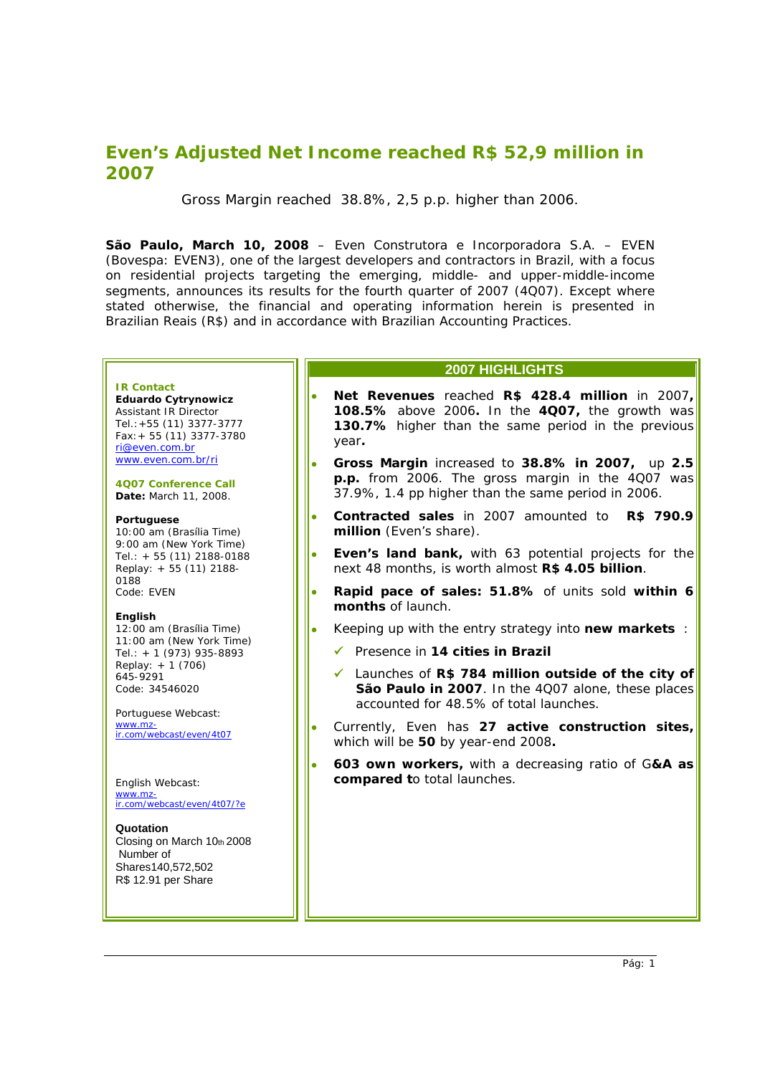## **Even's Adjusted Net Income reached R\$ 52,9 million in 2007**

Gross Margin reached 38.8%, 2,5 p.p. higher than 2006.

**São Paulo, March 10, 2008** – Even Construtora e Incorporadora S.A. – EVEN (Bovespa: EVEN3), one of the largest developers and contractors in Brazil, with a focus on residential projects targeting the emerging, middle- and upper-middle-income segments, announces its results for the fourth quarter of 2007 (4Q07). Except where stated otherwise, the financial and operating information herein is presented in Brazilian Reais (R\$) and in accordance with Brazilian Accounting Practices.

#### **IR Contact**

**Eduardo Cytrynowicz**  Assistant IR Director Tel.:+55 (11) 3377-3777 Fax:+ 55 (11) 3377-3780 ri@even.com.br www.even.com.br/ri

**4Q07 Conference Call Date:** March 11, 2008.

**Portuguese** 

10:00 am (Brasília Time) 9:00 am (New York Time) Tel.: + 55 (11) 2188-0188 Replay: + 55 (11) 2188- 0188 Code: EVEN

#### **English**

12:00 am (Brasília Time) 11:00 am (New York Time) Tel.:  $+ 1$  (973) 935-8893 Replay: + 1 (706) 645-9291 Code: 34546020

Portuguese Webcast: www.mzir.com/webcast/even/4t07

English Webcast: www.mzir.com/webcast/even/4t07/?e

**Quotation**  Closing on March 10th 2008 Number of Shares140,572,502 R\$ 12.91 per Share

#### **2007 HIGHLIGHTS**

- **Net Revenues** reached **R\$ 428.4 million** in 2007**, 108.5%** above 2006**.** In the **4Q07,** the growth was **130.7%** higher than the same period in the previous year**.**
- **Gross Margin** increased to **38.8% in 2007,** up **2.5 p.p.** from 2006. The gross margin in the 4Q07 was 37.9%, 1.4 pp higher than the same period in 2006.
- **Contracted sales** in 2007 amounted to **R\$ 790.9 million** (Even's share).
- **Even's land bank,** with 63 potential projects for the next 48 months, is worth almost **R\$ 4.05 billion**.
- **Rapid pace of sales: 51.8%** of units sold **within 6 months** of launch.
	- Keeping up with the entry strategy into **new markets** :
		- 9 Presence in **14 cities in Brazil**
		- 9 Launches of **R\$ 784 million outside of the city of São Paulo in 2007**. In the 4Q07 alone, these places accounted for 48.5% of total launches.
- Currently, Even has **27 active construction sites,** which will be **50** by year-end 2008**.**
- **603 own workers,** with a decreasing ratio of G**&A as compared t**o total launches.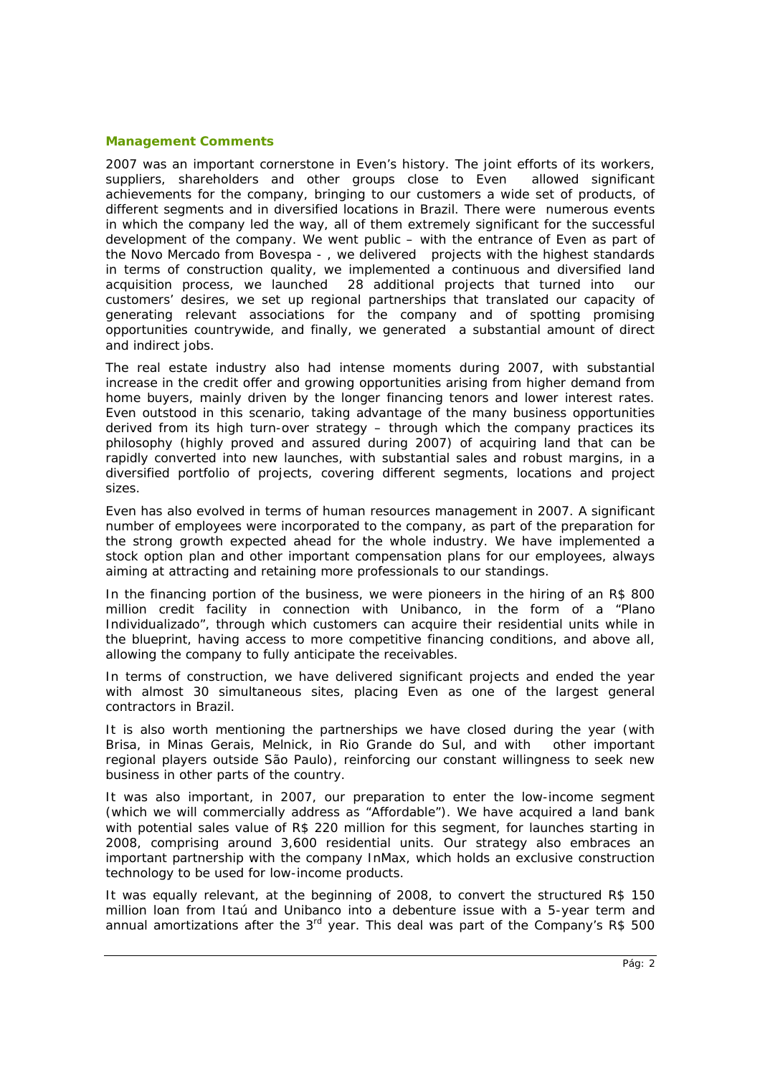#### **Management Comments**

2007 was an important cornerstone in Even's history. The joint efforts of its workers, suppliers, shareholders and other groups close to Even allowed significant achievements for the company, bringing to our customers a wide set of products, of different segments and in diversified locations in Brazil. There were numerous events in which the company led the way, all of them extremely significant for the successful development of the company. We went public – with the entrance of Even as part of the Novo Mercado from Bovespa - , we delivered projects with the highest standards in terms of construction quality, we implemented a continuous and diversified land acquisition process, we launched 28 additional projects that turned into our customers' desires, we set up regional partnerships that translated our capacity of generating relevant associations for the company and of spotting promising opportunities countrywide, and finally, we generated a substantial amount of direct and indirect jobs.

The real estate industry also had intense moments during 2007, with substantial increase in the credit offer and growing opportunities arising from higher demand from home buyers, mainly driven by the longer financing tenors and lower interest rates. Even outstood in this scenario, taking advantage of the many business opportunities derived from its high turn-over strategy – through which the company practices its philosophy (highly proved and assured during 2007) of acquiring land that can be rapidly converted into new launches, with substantial sales and robust margins, in a diversified portfolio of projects, covering different segments, locations and project sizes.

Even has also evolved in terms of human resources management in 2007. A significant number of employees were incorporated to the company, as part of the preparation for the strong growth expected ahead for the whole industry. We have implemented a stock option plan and other important compensation plans for our employees, always aiming at attracting and retaining more professionals to our standings.

In the financing portion of the business, we were pioneers in the hiring of an R\$ 800 million credit facility in connection with Unibanco, in the form of a "Plano Individualizado", through which customers can acquire their residential units while in the blueprint, having access to more competitive financing conditions, and above all, allowing the company to fully anticipate the receivables.

In terms of construction, we have delivered significant projects and ended the year with almost 30 simultaneous sites, placing Even as one of the largest general contractors in Brazil.

It is also worth mentioning the partnerships we have closed during the year (with Brisa, in Minas Gerais, Melnick, in Rio Grande do Sul, and with other important regional players outside São Paulo), reinforcing our constant willingness to seek new business in other parts of the country.

It was also important, in 2007, our preparation to enter the low-income segment (which we will commercially address as "Affordable"). We have acquired a land bank with potential sales value of R\$ 220 million for this segment, for launches starting in 2008, comprising around 3,600 residential units. Our strategy also embraces an important partnership with the company InMax, which holds an exclusive construction technology to be used for low-income products.

It was equally relevant, at the beginning of 2008, to convert the structured R\$ 150 million loan from Itaú and Unibanco into a debenture issue with a 5-year term and annual amortizations after the  $3<sup>rd</sup>$  year. This deal was part of the Company's R\$ 500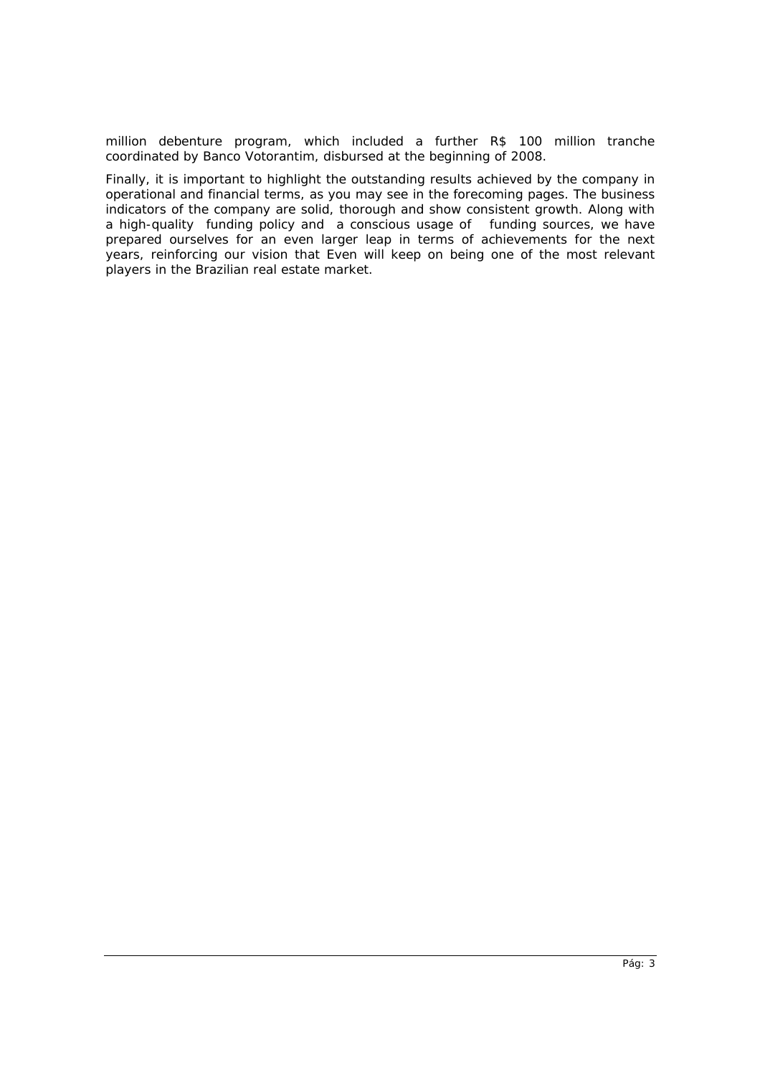million debenture program, which included a further R\$ 100 million tranche coordinated by Banco Votorantim, disbursed at the beginning of 2008.

Finally, it is important to highlight the outstanding results achieved by the company in operational and financial terms, as you may see in the forecoming pages. The business indicators of the company are solid, thorough and show consistent growth. Along with a high-quality funding policy and a conscious usage of funding sources, we have prepared ourselves for an even larger leap in terms of achievements for the next years, reinforcing our vision that Even will keep on being one of the most relevant players in the Brazilian real estate market.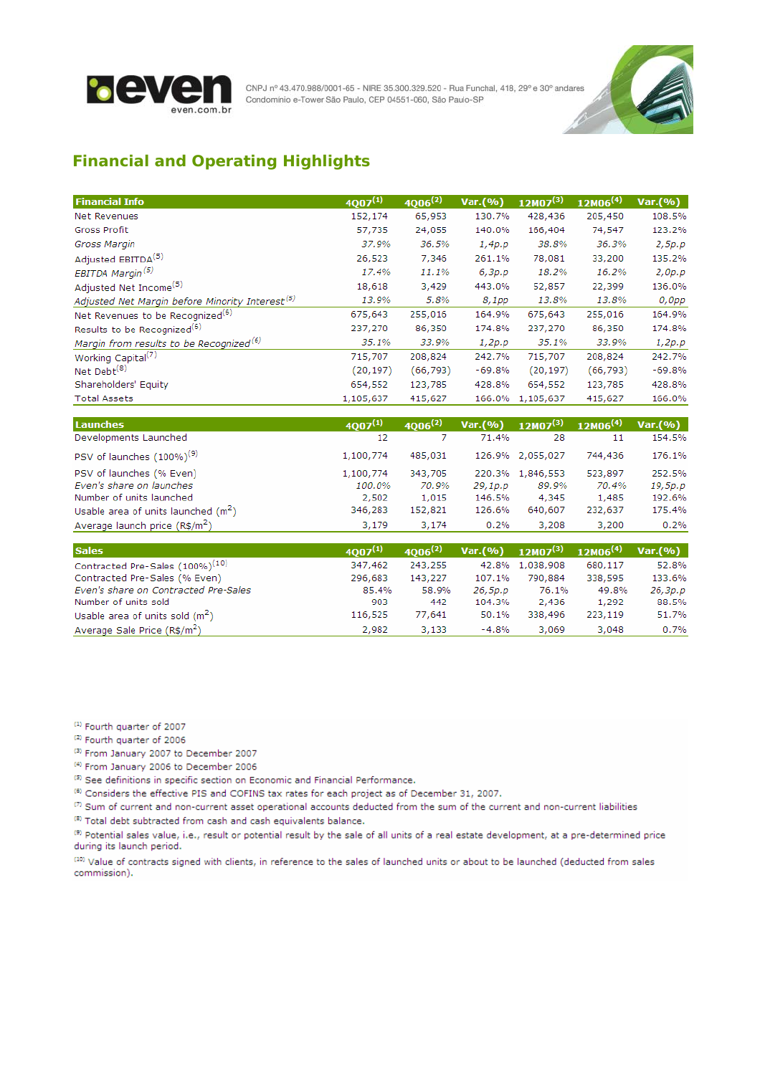



# **Financial and Operating Highlights**

| <b>Financial Info</b>                                       | $4007^{(1)}$ | $4006^{(2)}$ | Var.(%)  | $12M07^{(3)}$ | $12M06^{(4)}$ | Var.(96) |
|-------------------------------------------------------------|--------------|--------------|----------|---------------|---------------|----------|
| Net Revenues                                                | 152,174      | 65,953       | 130.7%   | 428,436       | 205,450       | 108.5%   |
| Gross Profit                                                | 57,735       | 24,055       | 140.0%   | 166,404       | 74,547        | 123.2%   |
| Gross Margin                                                | 37.9%        | 36.5%        | 1,4p,p   | 38.8%         | 36.3%         | 2,5p.p   |
| Adjusted EBITDA <sup>(5)</sup>                              | 26,523       | 7,346        | 261.1%   | 78,081        | 33,200        | 135.2%   |
| EBITDA Margin <sup>(5)</sup>                                | 17.4%        | 11.1%        | 6,3p,p   | 18.2%         | 16.2%         | 2,0p.p   |
| Adjusted Net Income <sup>(5)</sup>                          | 18,618       | 3,429        | 443.0%   | 52,857        | 22,399        | 136.0%   |
| Adjusted Net Margin before Minority Interest <sup>(5)</sup> | 13.9%        | 5.8%         | 8,1pp    | 13.8%         | 13.8%         | 0,0pp    |
| Net Revenues to be Recognized <sup>(6)</sup>                | 675,643      | 255,016      | 164.9%   | 675,643       | 255,016       | 164.9%   |
| Results to be Recognized <sup>(6)</sup>                     | 237,270      | 86,350       | 174.8%   | 237,270       | 86,350        | 174.8%   |
| Margin from results to be Recognized <sup>(6)</sup>         | 35.1%        | 33.9%        | 1,2p,p   | 35.1%         | 33.9%         | 1,2p,p   |
| Working Capital <sup>(7)</sup>                              | 715,707      | 208,824      | 242.7%   | 715,707       | 208,824       | 242.7%   |
| Net Debt <sup>(8)</sup>                                     | (20, 197)    | (66, 793)    | $-69.8%$ | (20, 197)     | (66, 793)     | $-69.8%$ |
| Shareholders' Equity                                        | 654,552      | 123,785      | 428.8%   | 654,552       | 123,785       | 428.8%   |
| <b>Total Assets</b>                                         | 1,105,637    | 415,627      | 166.0%   | 1,105,637     | 415,627       | 166.0%   |

| <b>Launches</b>                      | $4007^{(1)}$ | $4006^{(2)}$ | Var.(96) | $12M07^{(3)}$    | $12M06^{(4)}$ | Var.(96) |
|--------------------------------------|--------------|--------------|----------|------------------|---------------|----------|
| Developments Launched                | 12           |              | 71.4%    | 28               | 11            | 154.5%   |
| PSV of launches $(100\%)^{(9)}$      | 1,100,774    | 485,031      |          | 126.9% 2,055,027 | 744,436       | 176.1%   |
| PSV of launches (% Even)             | 1,100,774    | 343,705      | 220.3%   | 1,846,553        | 523,897       | 252.5%   |
| Even's share on launches             | 100.0%       | 70.9%        | 29,1p.p  | 89.9%            | 70.4%         | 19,5p.p  |
| Number of units launched             | 2,502        | 1,015        | 146.5%   | 4,345            | 1,485         | 192.6%   |
| Usable area of units launched $(m2)$ | 346,283      | 152,821      | 126.6%   | 640,607          | 232,637       | 175.4%   |
| Average launch price $(R$/m2)$       | 3,179        | 3,174        | 0.2%     | 3,208            | 3,200         | 0.2%     |

| <b>Sales</b>                                | $4007^{(1)}$ | $4006^{(2)}$ | Var.(96) | $12M07^{(3)}$   | $12M06^{(4)}$ | Var.(96) |
|---------------------------------------------|--------------|--------------|----------|-----------------|---------------|----------|
| Contracted Pre-Sales (100%) <sup>(10)</sup> | 347,462      | 243,255      |          | 42.8% 1,038,908 | 680,117       | 52.8%    |
| Contracted Pre-Sales (% Even)               | 296,683      | 143,227      | 107.1%   | 790.884         | 338,595       | 133.6%   |
| Even's share on Contracted Pre-Sales        | 85.4%        | 58.9%        | 26,5p.p  | 76.1%           | 49.8%         | 26,3p.p  |
| Number of units sold                        | 903          | 442          | 104.3%   | 2.436           | 1,292         | 88.5%    |
| Usable area of units sold $(m^2)$           | 116,525      | 77,641       | 50.1%    | 338,496         | 223,119       | 51.7%    |
| Average Sale Price (R\$/m <sup>2</sup> )    | 2.982        | 3,133        | -4.8%    | 3.069           | 3.048         | 0.7%     |

(1) Fourth quarter of 2007

(2) Fourth quarter of 2006

(3) From January 2007 to December 2007

<sup>(4)</sup> From January 2006 to December 2006

 $^{(5)}$  See definitions in specific section on Economic and Financial Performance.

(6) Considers the effective PIS and COFINS tax rates for each project as of December 31, 2007.

(7) Sum of current and non-current asset operational accounts deducted from the sum of the current and non-current liabilities

(8) Total debt subtracted from cash and cash equivalents balance.

<sup>(9)</sup> Potential sales value, i.e., result or potential result by the sale of all units of a real estate development, at a pre-determined price during its launch period.

(10) Value of contracts signed with clients, in reference to the sales of launched units or about to be launched (deducted from sales commission).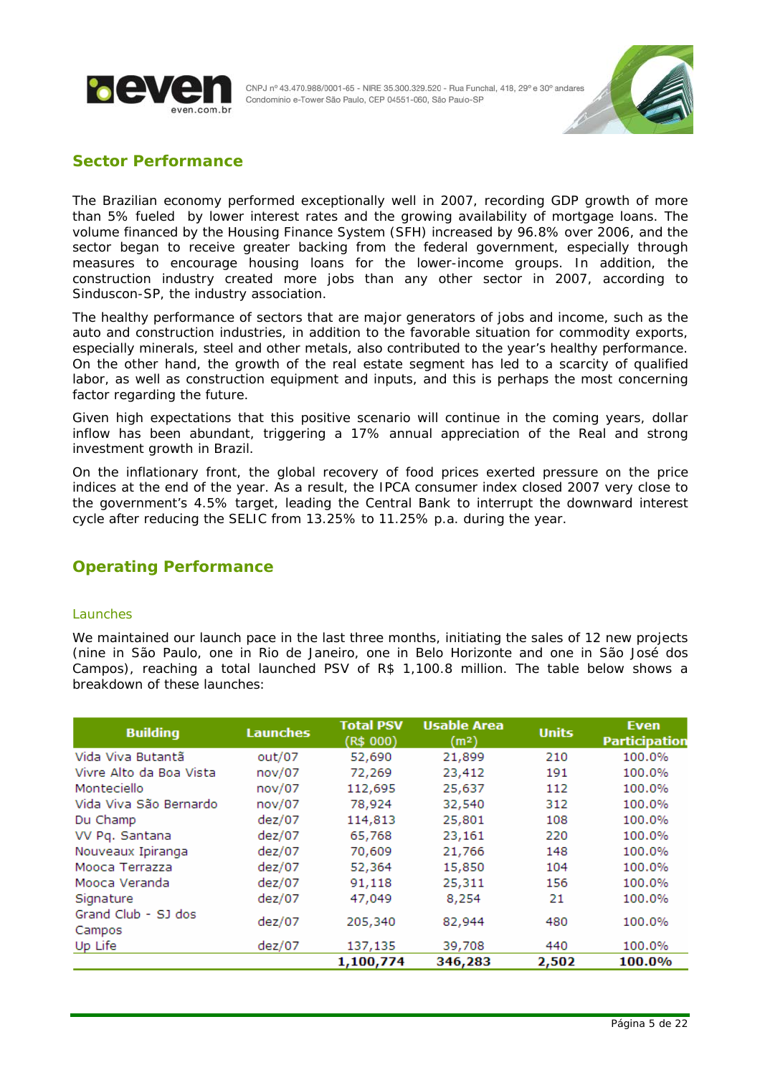



## **Sector Performance**

The Brazilian economy performed exceptionally well in 2007, recording GDP growth of more than 5% fueled by lower interest rates and the growing availability of mortgage loans. The volume financed by the Housing Finance System (SFH) increased by 96.8% over 2006, and the sector began to receive greater backing from the federal government, especially through measures to encourage housing loans for the lower-income groups. In addition, the construction industry created more jobs than any other sector in 2007, according to Sinduscon-SP, the industry association.

The healthy performance of sectors that are major generators of jobs and income, such as the auto and construction industries, in addition to the favorable situation for commodity exports, especially minerals, steel and other metals, also contributed to the year's healthy performance. On the other hand, the growth of the real estate segment has led to a scarcity of qualified labor, as well as construction equipment and inputs, and this is perhaps the most concerning factor regarding the future.

Given high expectations that this positive scenario will continue in the coming years, dollar inflow has been abundant, triggering a 17% annual appreciation of the Real and strong investment growth in Brazil.

On the inflationary front, the global recovery of food prices exerted pressure on the price indices at the end of the year. As a result, the IPCA consumer index closed 2007 very close to the government's 4.5% target, leading the Central Bank to interrupt the downward interest cycle after reducing the SELIC from 13.25% to 11.25% p.a. during the year.

## **Operating Performance**

## Launches

We maintained our launch pace in the last three months, initiating the sales of 12 new projects (nine in São Paulo, one in Rio de Janeiro, one in Belo Horizonte and one in São José dos Campos), reaching a total launched PSV of R\$ 1,100.8 million. The table below shows a breakdown of these launches:

| <b>Building</b>               | <b>Launches</b> | <b>Total PSV</b><br>(R\$ 000) | <b>Usable Area</b><br>(m <sup>2</sup> ) | <b>Units</b> | Even<br><b>Participation</b> |
|-------------------------------|-----------------|-------------------------------|-----------------------------------------|--------------|------------------------------|
| Vida Viva Butantã             | out/07          | 52,690                        | 21,899                                  | 210          | 100.0%                       |
| Vivre Alto da Boa Vista       | nov/07          | 72,269                        | 23,412                                  | 191          | 100.0%                       |
| Monteciello                   | nov/07          | 112,695                       | 25,637                                  | 112          | 100.0%                       |
| Vida Viva São Bernardo        | nov/07          | 78,924                        | 32,540                                  | 312          | 100.0%                       |
| Du Champ                      | dez/07          | 114,813                       | 25,801                                  | 108          | 100.0%                       |
| VV Pq. Santana                | dez/07          | 65,768                        | 23,161                                  | 220          | 100.0%                       |
| Nouveaux Ipiranga             | dez/07          | 70,609                        | 21,766                                  | 148          | 100.0%                       |
| Mooca Terrazza                | dez/07          | 52,364                        | 15,850                                  | 104          | 100.0%                       |
| Mooca Veranda                 | dez/07          | 91,118                        | 25,311                                  | 156          | 100.0%                       |
| Signature                     | dez/07          | 47,049                        | 8,254                                   | 21           | 100.0%                       |
| Grand Club - SJ dos<br>Campos | dez/07          | 205,340                       | 82,944                                  | 480          | 100.0%                       |
| Up Life                       | dez/07          | 137,135                       | 39,708                                  | 440          | 100.0%                       |
|                               |                 | 1,100,774                     | 346,283                                 | 2,502        | 100.0%                       |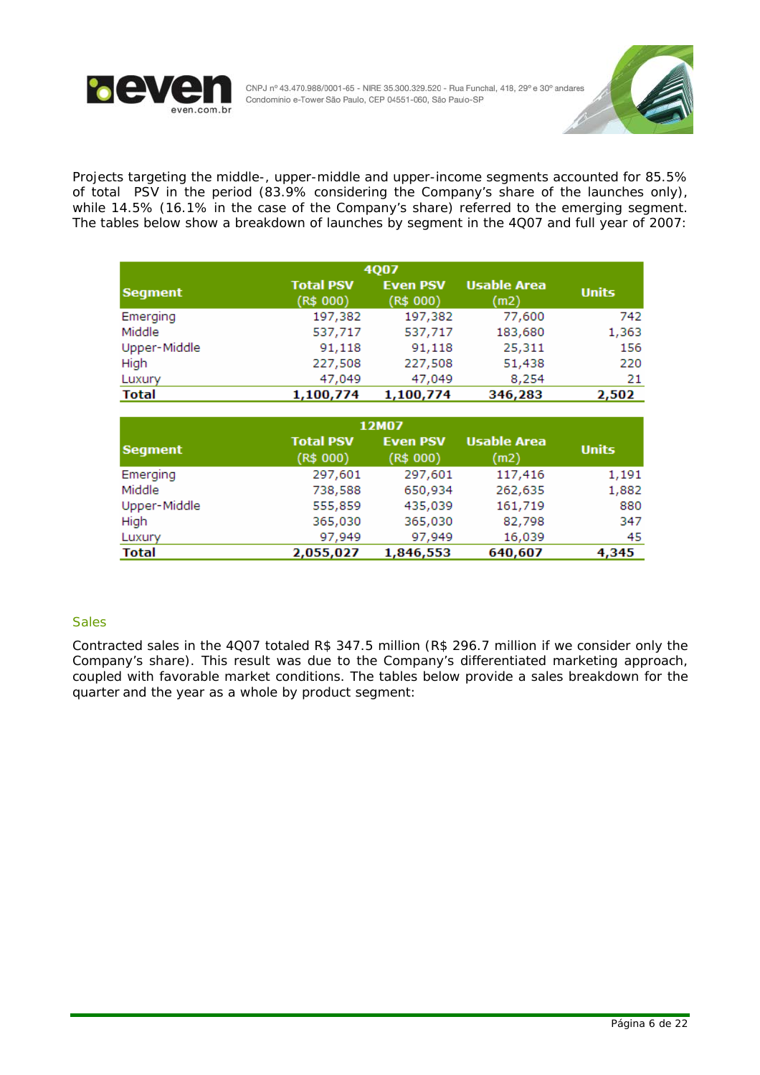



Projects targeting the middle-, upper-middle and upper-income segments accounted for 85.5% of total PSV in the period (83.9% considering the Company's share of the launches only), while 14.5% (16.1% in the case of the Company's share) referred to the emerging segment. The tables below show a breakdown of launches by segment in the 4Q07 and full year of 2007:

| <b>4Q07</b>    |                               |                              |                            |              |  |  |  |  |
|----------------|-------------------------------|------------------------------|----------------------------|--------------|--|--|--|--|
| <b>Segment</b> | <b>Total PSV</b><br>(R\$ 000) | <b>Even PSV</b><br>(R\$ 000) | <b>Usable Area</b><br>(m2) | <b>Units</b> |  |  |  |  |
| Emerging       | 197,382                       | 197,382                      | 77,600                     | 742          |  |  |  |  |
| Middle         | 537,717                       | 537,717                      | 183,680                    | 1,363        |  |  |  |  |
| Upper-Middle   | 91,118                        | 91,118                       | 25,311                     | 156          |  |  |  |  |
| High           | 227,508                       | 227,508                      | 51,438                     | 220          |  |  |  |  |
| Luxury         | 47,049                        | 47,049                       | 8,254                      | 21           |  |  |  |  |
| Total          | 1,100,774                     | 1,100,774                    | 346,283                    | 2,502        |  |  |  |  |

| 12M07          |                               |                              |                            |              |  |  |  |  |  |
|----------------|-------------------------------|------------------------------|----------------------------|--------------|--|--|--|--|--|
| <b>Segment</b> | <b>Total PSV</b><br>(R\$ 000) | <b>Even PSV</b><br>(R\$ 000) | <b>Usable Area</b><br>(m2) | <b>Units</b> |  |  |  |  |  |
| Emerging       | 297,601                       | 297,601                      | 117,416                    | 1,191        |  |  |  |  |  |
| Middle         | 738,588                       | 650,934                      | 262,635                    | 1,882        |  |  |  |  |  |
| Upper-Middle   | 555,859                       | 435,039                      | 161,719                    | 880          |  |  |  |  |  |
| High           | 365,030                       | 365,030                      | 82,798                     | 347          |  |  |  |  |  |
| Luxury         | 97,949                        | 97,949                       | 16,039                     | 45           |  |  |  |  |  |
| <b>Total</b>   | 2,055,027                     | 1,846,553                    | 640,607                    | 4,345        |  |  |  |  |  |

## **Sales**

Contracted sales in the 4Q07 totaled R\$ 347.5 million (R\$ 296.7 million if we consider only the Company's share). This result was due to the Company's differentiated marketing approach, coupled with favorable market conditions. The tables below provide a sales breakdown for the quarter and the year as a whole by product segment: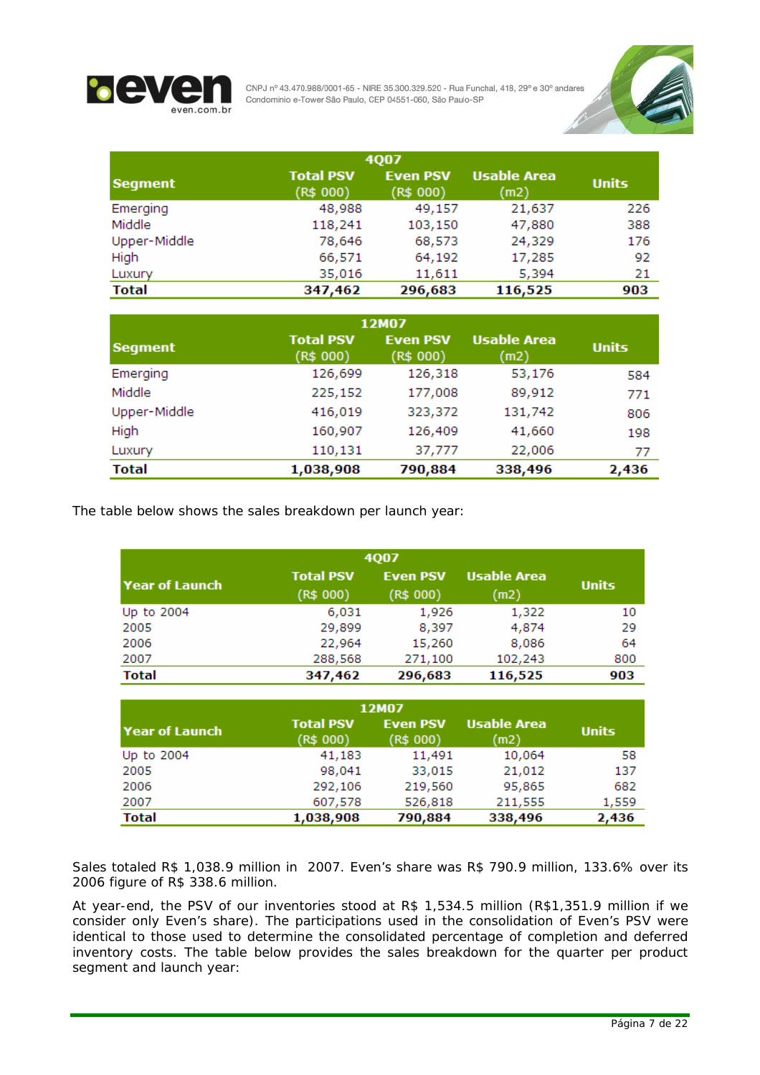



| <b>4007</b>    |                               |                              |                            |              |  |  |  |  |
|----------------|-------------------------------|------------------------------|----------------------------|--------------|--|--|--|--|
| <b>Segment</b> | <b>Total PSV</b><br>(R\$ 000) | <b>Even PSV</b><br>(R\$ 000) | <b>Usable Area</b><br>(m2) | <b>Units</b> |  |  |  |  |
| Emerging       | 48,988                        | 49,157                       | 21,637                     | 226          |  |  |  |  |
| Middle         | 118,241                       | 103,150                      | 47,880                     | 388          |  |  |  |  |
| Upper-Middle   | 78,646                        | 68,573                       | 24,329                     | 176          |  |  |  |  |
| High           | 66,571                        | 64,192                       | 17,285                     | 92           |  |  |  |  |
| Luxury         | 35,016                        | 11,611                       | 5,394                      | 21           |  |  |  |  |
| <b>Total</b>   | 347,462                       | 296,683                      | 116,525                    | 903          |  |  |  |  |

| 12M07          |                               |                              |                            |              |  |  |  |  |  |
|----------------|-------------------------------|------------------------------|----------------------------|--------------|--|--|--|--|--|
| <b>Segment</b> | <b>Total PSV</b><br>(R\$ 000) | <b>Even PSV</b><br>(R\$ 000) | <b>Usable Area</b><br>(m2) | <b>Units</b> |  |  |  |  |  |
| Emerging       | 126,699                       | 126,318                      | 53,176                     | 584          |  |  |  |  |  |
| Middle         | 225,152                       | 177,008                      | 89,912                     | 771          |  |  |  |  |  |
| Upper-Middle   | 416,019                       | 323,372                      | 131,742                    | 806          |  |  |  |  |  |
| High           | 160,907                       | 126,409                      | 41,660                     | 198          |  |  |  |  |  |
| Luxury         | 110,131                       | 37,777                       | 22,006                     | 77           |  |  |  |  |  |
| <b>Total</b>   | 1,038,908                     | 790,884                      | 338,496                    | 2,436        |  |  |  |  |  |

The table below shows the sales breakdown per launch year:

| <b>4Q07</b>    |                               |                              |                            |              |  |  |  |  |
|----------------|-------------------------------|------------------------------|----------------------------|--------------|--|--|--|--|
| Year of Launch | <b>Total PSV</b><br>(R\$ 000) | <b>Even PSV</b><br>(R\$ 000) | <b>Usable Area</b><br>(m2) | <b>Units</b> |  |  |  |  |
| Up to 2004     | 6,031                         | 1,926                        | 1,322                      | 10           |  |  |  |  |
| 2005           | 29,899                        | 8,397                        | 4,874                      | 29           |  |  |  |  |
| 2006           | 22,964                        | 15,260                       | 8,086                      | 64           |  |  |  |  |
| 2007           | 288,568                       | 271,100                      | 102,243                    | 800          |  |  |  |  |
| <b>Total</b>   | 347,462                       | 296,683                      | 116,525                    | 903          |  |  |  |  |

| 12M07          |                               |                              |                            |              |  |  |  |  |
|----------------|-------------------------------|------------------------------|----------------------------|--------------|--|--|--|--|
| Year of Launch | <b>Total PSV</b><br>(R\$ 000) | <b>Even PSV</b><br>(R\$ 000) | <b>Usable Area</b><br>(m2) | <b>Units</b> |  |  |  |  |
| Up to 2004     | 41,183                        | 11,491                       | 10,064                     | 58           |  |  |  |  |
| 2005           | 98,041                        | 33,015                       | 21,012                     | 137          |  |  |  |  |
| 2006           | 292,106                       | 219,560                      | 95,865                     | 682          |  |  |  |  |
| 2007           | 607,578                       | 526,818                      | 211,555                    | 1,559        |  |  |  |  |
| <b>Total</b>   | 1,038,908                     | 790,884                      | 338,496                    | 2,436        |  |  |  |  |

Sales totaled R\$ 1,038.9 million in 2007. Even's share was R\$ 790.9 million, 133.6% over its 2006 figure of R\$ 338.6 million.

At year-end, the PSV of our inventories stood at R\$ 1,534.5 million (R\$1,351.9 million if we consider only Even's share). The participations used in the consolidation of Even's PSV were identical to those used to determine the consolidated percentage of completion and deferred inventory costs. The table below provides the sales breakdown for the quarter per product segment and launch year: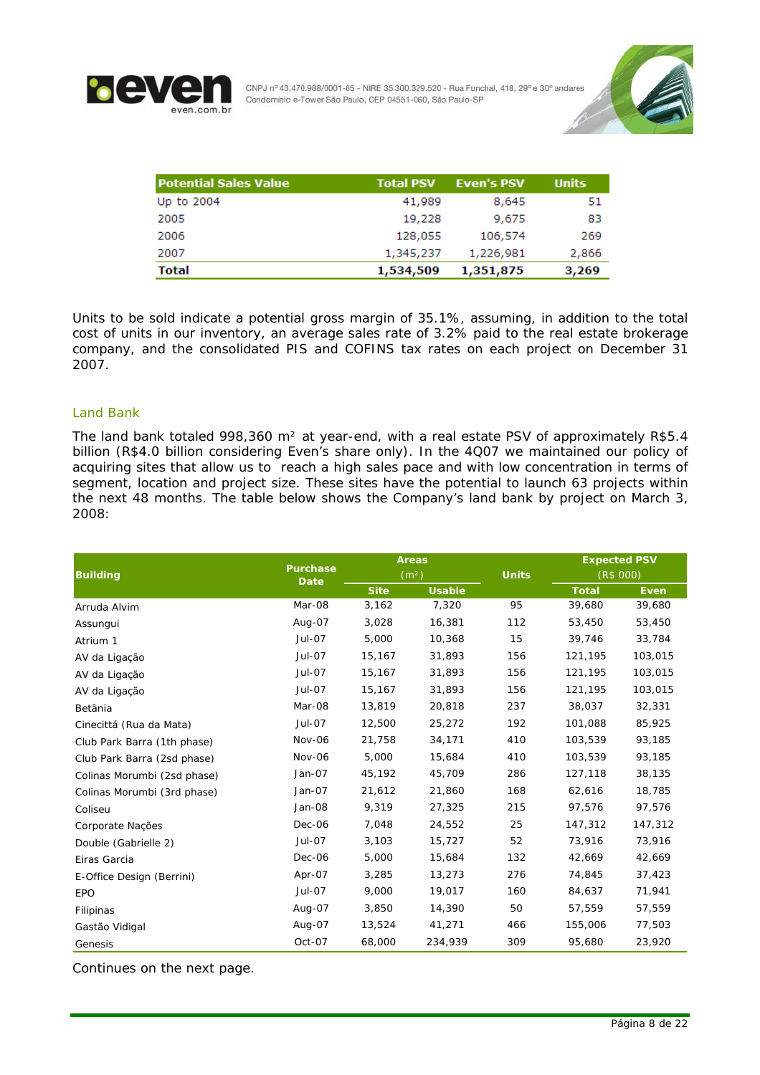



| <b>Potential Sales Value</b> | <b>Total PSV</b> | <b>Even's PSV</b> | <b>Units</b> |
|------------------------------|------------------|-------------------|--------------|
| Up to 2004                   | 41,989           | 8,645             | 51           |
| 2005                         | 19,228           | 9,675             | 83           |
| 2006                         | 128,055          | 106,574           | 269          |
| 2007                         | 1,345,237        | 1,226,981         | 2,866        |
| <b>Total</b>                 | 1,534,509        | 1,351,875         | 3,269        |

Units to be sold indicate a potential gross margin of 35.1%, assuming, in addition to the total cost of units in our inventory, an average sales rate of 3.2% paid to the real estate brokerage company, and the consolidated PIS and COFINS tax rates on each project on December 31 2007.

## Land Bank

The land bank totaled 998,360 m<sup>2</sup> at year-end, with a real estate PSV of approximately R\$5.4 billion (R\$4.0 billion considering Even's share only). In the 4Q07 we maintained our policy of acquiring sites that allow us to reach a high sales pace and with low concentration in terms of segment, location and project size. These sites have the potential to launch 63 projects within the next 48 months. The table below shows the Company's land bank by project on March 3, 2008:

|                             |                                | <b>Areas</b> |                   |              | <b>Expected PSV</b> |             |
|-----------------------------|--------------------------------|--------------|-------------------|--------------|---------------------|-------------|
| <b>Building</b>             | <b>Purchase</b><br><b>Date</b> |              | (m <sup>2</sup> ) | <b>Units</b> | (R\$ 000)           |             |
|                             |                                | <b>Site</b>  | <b>Usable</b>     |              | <b>Total</b>        | <b>Even</b> |
| Arruda Alvim                | Mar-08                         | 3,162        | 7,320             | 95           | 39,680              | 39,680      |
| Assungui                    | Aug-07                         | 3,028        | 16,381            | 112          | 53,450              | 53,450      |
| Atrium 1                    | Jul-07                         | 5,000        | 10,368            | 15           | 39,746              | 33,784      |
| AV da Ligação               | Jul-07                         | 15,167       | 31,893            | 156          | 121,195             | 103,015     |
| AV da Ligação               | Jul-07                         | 15,167       | 31,893            | 156          | 121,195             | 103,015     |
| AV da Ligação               | Jul-07                         | 15,167       | 31,893            | 156          | 121,195             | 103,015     |
| Betânia                     | Mar-08                         | 13,819       | 20,818            | 237          | 38,037              | 32,331      |
| Cinecittá (Rua da Mata)     | Jul-07                         | 12,500       | 25,272            | 192          | 101,088             | 85,925      |
| Club Park Barra (1th phase) | Nov-06                         | 21,758       | 34,171            | 410          | 103,539             | 93,185      |
| Club Park Barra (2sd phase) | Nov-06                         | 5,000        | 15,684            | 410          | 103,539             | 93,185      |
| Colinas Morumbi (2sd phase) | Jan-07                         | 45,192       | 45,709            | 286          | 127,118             | 38,135      |
| Colinas Morumbi (3rd phase) | Jan-07                         | 21,612       | 21,860            | 168          | 62,616              | 18,785      |
| Coliseu                     | Jan-08                         | 9,319        | 27,325            | 215          | 97,576              | 97,576      |
| Corporate Nações            | Dec-06                         | 7,048        | 24,552            | 25           | 147,312             | 147,312     |
| Double (Gabrielle 2)        | Jul-07                         | 3,103        | 15,727            | 52           | 73,916              | 73,916      |
| Eiras Garcia                | Dec-06                         | 5,000        | 15,684            | 132          | 42,669              | 42,669      |
| E-Office Design (Berrini)   | Apr-07                         | 3,285        | 13,273            | 276          | 74,845              | 37,423      |
| <b>EPO</b>                  | $Jul-07$                       | 9,000        | 19,017            | 160          | 84,637              | 71,941      |
| Filipinas                   | Aug-07                         | 3,850        | 14,390            | 50           | 57,559              | 57,559      |
| Gastão Vidigal              | Aug-07                         | 13,524       | 41,271            | 466          | 155,006             | 77,503      |
| Genesis                     | Oct-07                         | 68,000       | 234,939           | 309          | 95,680              | 23,920      |

Continues on the next page.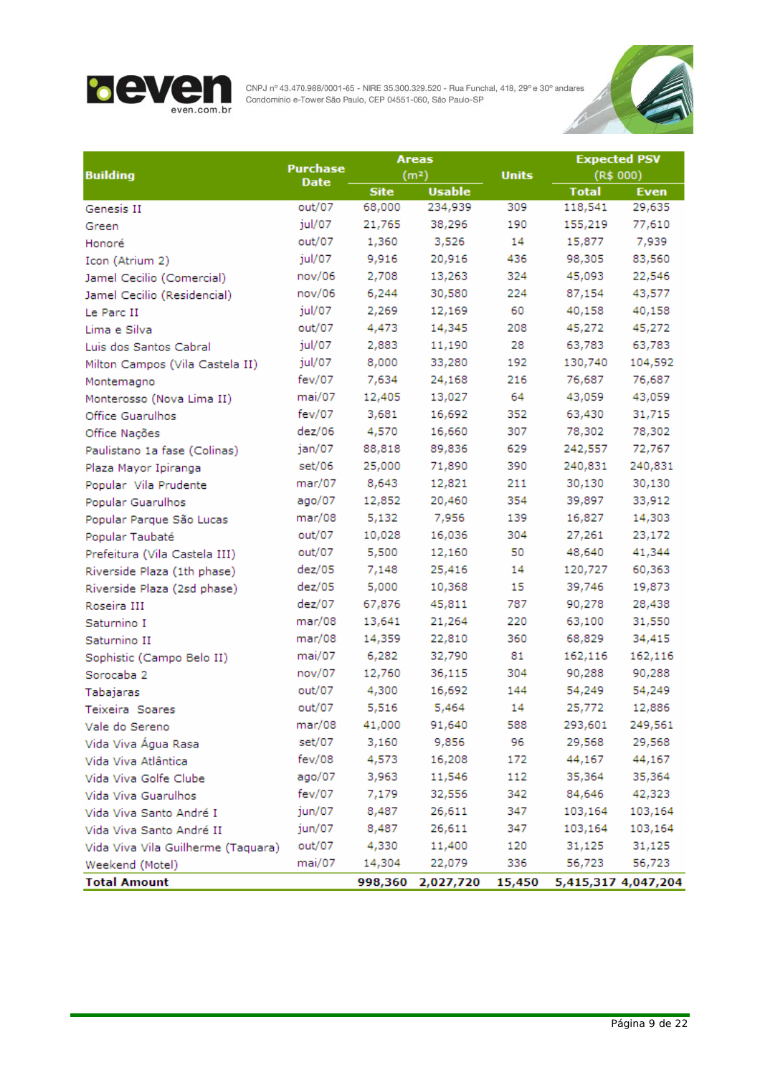



|                                    |                                |             | <b>Areas</b>      |              | <b>Expected PSV</b> |                     |  |
|------------------------------------|--------------------------------|-------------|-------------------|--------------|---------------------|---------------------|--|
| <b>Building</b>                    | <b>Purchase</b><br><b>Date</b> |             | (m <sup>2</sup> ) | <b>Units</b> | (R\$ 000)           |                     |  |
|                                    |                                | <b>Site</b> | <b>Usable</b>     |              | <b>Total</b>        | <b>Even</b>         |  |
| Genesis II                         | out/07                         | 68,000      | 234,939           | 309          | 118,541             | 29,635              |  |
| Green                              | jul/07                         | 21,765      | 38,296            | 190          | 155,219             | 77,610              |  |
| Honoré                             | out/07                         | 1,360       | 3,526             | 14           | 15,877              | 7,939               |  |
| Icon (Atrium 2)                    | jul/07                         | 9,916       | 20,916            | 436          | 98,305              | 83,560              |  |
| Jamel Cecilio (Comercial)          | nov/06                         | 2,708       | 13,263            | 324          | 45,093              | 22,546              |  |
| Jamel Cecilio (Residencial)        | nov/06                         | 6,244       | 30,580            | 224          | 87,154              | 43,577              |  |
| Le Parc II                         | jul/07                         | 2,269       | 12,169            | 60           | 40,158              | 40,158              |  |
| Lima e Silva                       | out/07                         | 4,473       | 14,345            | 208          | 45,272              | 45,272              |  |
| Luis dos Santos Cabral             | jul/07                         | 2,883       | 11,190            | 28           | 63,783              | 63,783              |  |
| Milton Campos (Vila Castela II)    | jul/07                         | 8,000       | 33,280            | 192          | 130,740             | 104,592             |  |
| Montemagno                         | fev/07                         | 7,634       | 24,168            | 216          | 76,687              | 76,687              |  |
| Monterosso (Nova Lima II)          | mi/07                          | 12,405      | 13,027            | 64           | 43,059              | 43,059              |  |
| Office Guarulhos                   | fev/07                         | 3,681       | 16,692            | 352          | 63,430              | 31,715              |  |
| Office Nações                      | dez/06                         | 4,570       | 16,660            | 307          | 78,302              | 78,302              |  |
| Paulistano 1a fase (Colinas)       | jan/07                         | 88,818      | 89,836            | 629          | 242,557             | 72,767              |  |
| Plaza Mayor Ipiranga               | set/06                         | 25,000      | 71,890            | 390          | 240,831             | 240,831             |  |
| Popular Vila Prudente              | mar/07                         | 8,643       | 12,821            | 211          | 30,130              | 30,130              |  |
| Popular Guarulhos                  | ago/07                         | 12,852      | 20,460            | 354          | 39,897              | 33,912              |  |
| Popular Parque São Lucas           | mar/08                         | 5,132       | 7,956             | 139          | 16,827              | 14,303              |  |
| Popular Taubaté                    | out/07                         | 10,028      | 16,036            | 304          | 27,261              | 23,172              |  |
| Prefeitura (Vila Castela III)      | out/07                         | 5,500       | 12,160            | 50           | 48,640              | 41,344              |  |
| Riverside Plaza (1th phase)        | dez/05                         | 7,148       | 25,416            | 14           | 120,727             | 60,363              |  |
| Riverside Plaza (2sd phase)        | dez/05                         | 5,000       | 10,368            | 15           | 39,746              | 19,873              |  |
| Roseira III                        | dez/07                         | 67,876      | 45,811            | 787          | 90,278              | 28,438              |  |
| Saturnino I                        | mar/08                         | 13,641      | 21,264            | 220          | 63,100              | 31,550              |  |
| Saturnino II                       | mar/08                         | 14,359      | 22,810            | 360          | 68,829              | 34,415              |  |
| Sophistic (Campo Belo II)          | mai/07                         | 6,282       | 32,790            | 81           | 162,116             | 162,116             |  |
| Sorocaba 2                         | nov/07                         | 12,760      | 36,115            | 304          | 90,288              | 90,288              |  |
| Tabajaras                          | out/07                         | 4,300       | 16,692            | 144          | 54,249              | 54,249              |  |
| Teixeira Soares                    | out/07                         | 5,516       | 5,464             | 14           | 25,772              | 12,886              |  |
| Vale do Sereno                     | mar/08                         | 41,000      | 91,640            | 588          | 293,601             | 249,561             |  |
| Vida Viva Água Rasa                | set/07                         | 3,160       | 9,856             | 96           | 29,568              | 29,568              |  |
| Vida Viva Atlântica                | fev/08                         | 4,573       | 16,208            | 172          | 44,167              | 44,167              |  |
| Vida Viva Golfe Clube              | ago/07                         | 3,963       | 11,546            | 112          | 35,364              | 35,364              |  |
| Vida Viva Guarulhos                | fev/07                         | 7,179       | 32,556            | 342          | 84,646              | 42,323              |  |
| Vida Viva Santo André I            | jun/07                         | 8,487       | 26,611            | 347          | 103,164             | 103,164             |  |
| Vida Viva Santo André II           | jun/07                         | 8,487       | 26,611            | 347          | 103,164             | 103,164             |  |
| Vida Viva Vila Guilherme (Taquara) | out/07                         | 4,330       | 11,400            | 120          | 31,125              | 31,125              |  |
| Weekend (Motel)                    | mai/07                         | 14,304      | 22,079            | 336          | 56,723              | 56,723              |  |
| <b>Total Amount</b>                |                                | 998,360     | 2,027,720         | 15,450       |                     | 5,415,317 4,047,204 |  |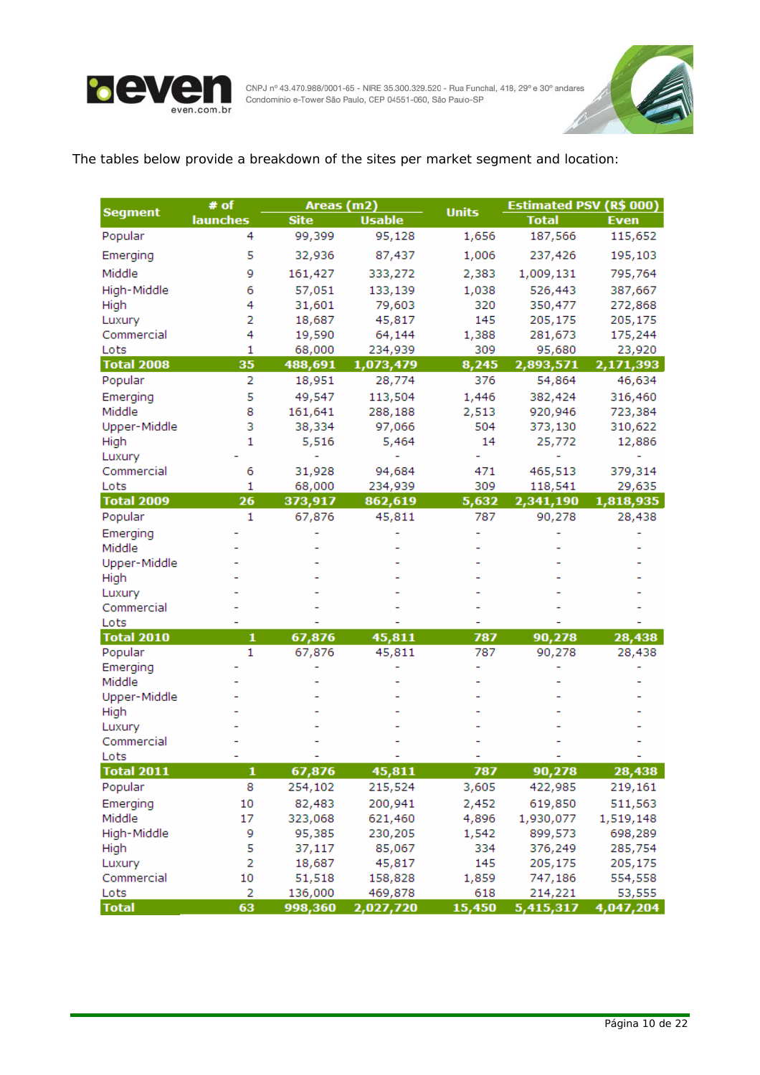



The tables below provide a breakdown of the sites per market segment and location:

| <b>Segment</b>     | # of            | Areas (m2)  |               | <b>Units</b> | <b>Estimated PSV (R\$ 000)</b> |             |  |
|--------------------|-----------------|-------------|---------------|--------------|--------------------------------|-------------|--|
|                    | <b>launches</b> | <b>Site</b> | <b>Usable</b> |              | <b>Total</b>                   | <b>Even</b> |  |
| Popular            | 4               | 99,399      | 95,128        | 1,656        | 187,566                        | 115,652     |  |
| Emerging           | 5               | 32,936      | 87,437        | 1,006        | 237,426                        | 195,103     |  |
| Middle             | 9               | 161,427     | 333,272       | 2,383        | 1,009,131                      | 795,764     |  |
| High-Middle        | 6               | 57,051      | 133,139       | 1,038        | 526,443                        | 387,667     |  |
| High               | 4               | 31,601      | 79,603        | 320          | 350,477                        | 272,868     |  |
| Luxury             | 2               | 18,687      | 45,817        | 145          | 205,175                        | 205,175     |  |
| Commercial         | 4               | 19,590      | 64,144        | 1,388        | 281,673                        | 175,244     |  |
| Lots               | 1               | 68,000      | 234,939       | 309          | 95,680                         | 23,920      |  |
| <b>Total 2008</b>  | 35              | 488,691     | 1,073,479     | 8,245        | 2,893,571                      | 2,171,393   |  |
| Popular            | $\overline{2}$  | 18,951      | 28,774        | 376          | 54,864                         | 46,634      |  |
| Emerging           | 5               | 49,547      | 113,504       | 1,446        | 382,424                        | 316,460     |  |
| Middle             | 8               | 161,641     | 288,188       | 2,513        | 920,946                        | 723,384     |  |
| Upper-Middle       | 3               | 38,334      | 97,066        | 504          | 373,130                        | 310,622     |  |
| High               | 1               | 5,516       | 5,464         | 14           | 25,772                         | 12,886      |  |
| Luxury             |                 |             |               |              |                                |             |  |
| Commercial         | 6               | 31,928      | 94,684        | 471          | 465,513                        | 379,314     |  |
| Lots               | 1               | 68,000      | 234,939       | 309          | 118,541                        | 29,635      |  |
| <b>Total 2009</b>  | 26              | 373,917     | 862,619       | 5,632        | 2,341,190                      | 1,818,935   |  |
| Popular            | 1               | 67,876      | 45,811        | 787          | 90,278                         | 28,438      |  |
| Emerging           |                 |             |               |              |                                |             |  |
| Middle             |                 |             |               |              |                                |             |  |
| Upper-Middle       |                 |             |               |              |                                |             |  |
| High               |                 |             |               |              |                                |             |  |
| Luxury             |                 |             |               |              |                                |             |  |
| Commercial<br>Lots |                 |             |               |              |                                |             |  |
| <b>Total 2010</b>  | 1               | 67,876      | 45,811        | 787          | 90,278                         | 28,438      |  |
| Popular            | 1               | 67,876      | 45,811        | 787          | 90,278                         | 28,438      |  |
| Emerging           |                 |             |               |              |                                |             |  |
| Middle             |                 |             |               |              |                                |             |  |
| Upper-Middle       |                 |             |               |              |                                |             |  |
| High               |                 |             |               |              |                                |             |  |
| Luxury             |                 |             |               |              |                                |             |  |
| Commercial         |                 |             |               |              |                                |             |  |
| Lots               |                 |             |               |              |                                |             |  |
| <b>Total 2011</b>  | щ               | 67,876      | 45,811        | 787          | 90,278                         | 28,438      |  |
| Popular            | 8               | 254,102     | 215,524       | 3,605        | 422,985                        | 219,161     |  |
| Emerging           | 10              | 82,483      | 200,941       | 2,452        | 619,850                        | 511,563     |  |
| Middle             | 17              | 323,068     | 621,460       | 4,896        | 1,930,077                      | 1,519,148   |  |
| High-Middle        | 9               | 95,385      | 230,205       | 1,542        | 899,573                        | 698,289     |  |
| High               | 5               | 37,117      | 85,067        | 334          | 376,249                        | 285,754     |  |
| Luxury             | 2               | 18,687      | 45,817        | 145          | 205,175                        | 205,175     |  |
| Commercial         | 10              | 51,518      | 158,828       | 1,859        | 747,186                        | 554,558     |  |
| Lots               | 2               | 136,000     | 469,878       | 618          | 214,221                        | 53,555      |  |
| <b>Total</b>       | 63              | 998.360     | 2.027.720     | 15.450       | 5.415.317                      | 4.047.204   |  |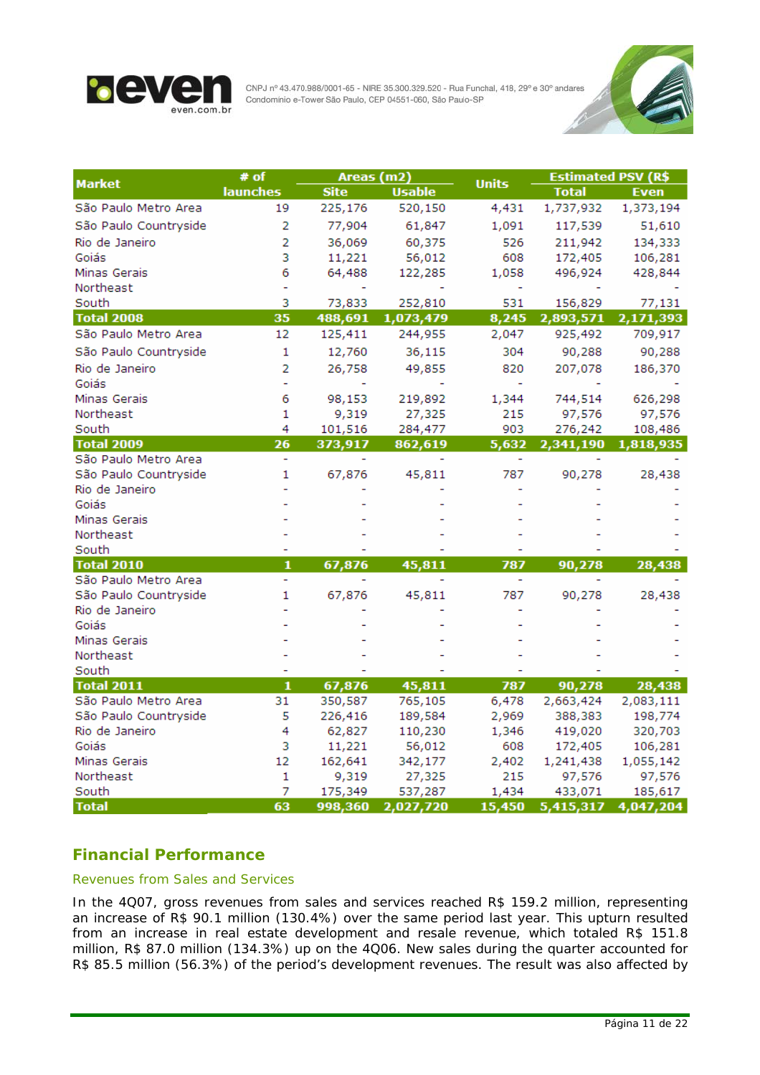



| <b>Market</b>                             | # of                     | Areas (m2)        |                   | <b>Units</b> | <b>Estimated PSV (R\$</b> |                     |  |
|-------------------------------------------|--------------------------|-------------------|-------------------|--------------|---------------------------|---------------------|--|
|                                           | <b>launches</b>          | <b>Site</b>       | <b>Usable</b>     |              | Total                     | Even                |  |
| São Paulo Metro Area                      | 19                       | 225,176           | 520,150           | 4,431        | 1,737,932                 | 1,373,194           |  |
| São Paulo Countryside                     | 2                        | 77,904            | 61,847            | 1,091        | 117,539                   | 51,610              |  |
| Rio de Janeiro                            | 2                        | 36,069            | 60,375            | 526          | 211,942                   | 134,333             |  |
| Goiás                                     | 3                        | 11,221            | 56,012            | 608          | 172,405                   | 106,281             |  |
| Minas Gerais                              | 6                        | 64,488            | 122,285           | 1,058        | 496,924                   | 428,844             |  |
| Northeast                                 | ۰                        |                   |                   |              |                           |                     |  |
| South                                     | 3                        | 73,833            | 252,810           | 531          | 156,829                   | 77,131              |  |
| <b>Total 2008</b>                         | 35                       | 488,691           | 1,073,479         | 8,245        | 2,893,571                 | 2,171,393           |  |
| São Paulo Metro Area                      | 12                       | 125,411           | 244,955           | 2,047        | 925,492                   | 709,917             |  |
| São Paulo Countryside                     | 1                        | 12,760            | 36,115            | 304          | 90,288                    | 90,288              |  |
| Rio de Janeiro                            | 2                        | 26,758            | 49,855            | 820          | 207,078                   | 186,370             |  |
| Goiás                                     | $\overline{\phantom{0}}$ |                   |                   |              |                           |                     |  |
| Minas Gerais                              | 6                        | 98,153            | 219,892           | 1,344        | 744,514                   | 626,298             |  |
| Northeast                                 | 1                        | 9,319             | 27,325            | 215          | 97,576                    | 97,576              |  |
| South                                     | 4                        | 101,516           | 284,477           | 903          | 276,242                   | 108,486             |  |
| <b>Total 2009</b>                         | 26                       | 373,917           | 862,619           | 5,632        | 2,341,190                 | 1,818,935           |  |
| São Paulo Metro Area                      | $\blacksquare$           |                   |                   |              |                           |                     |  |
| São Paulo Countryside                     | 1                        | 67,876            | 45,811            | 787          | 90,278                    | 28,438              |  |
| Rio de Janeiro                            |                          |                   |                   |              |                           |                     |  |
| Goiás                                     |                          |                   |                   |              |                           |                     |  |
| Minas Gerais                              |                          |                   |                   |              |                           |                     |  |
| Northeast                                 |                          |                   |                   |              |                           |                     |  |
| South                                     |                          |                   |                   |              |                           |                     |  |
| <b>Total 2010</b>                         | 1                        | 67,876            | 45,811            | 787          | 90,278                    | 28,438              |  |
| São Paulo Metro Area                      | ÷                        |                   |                   |              |                           |                     |  |
| São Paulo Countryside                     | 1                        | 67,876            | 45,811            | 787          | 90,278                    | 28,438              |  |
| Rio de Janeiro                            |                          |                   |                   |              |                           |                     |  |
| Goiás                                     |                          |                   |                   |              |                           |                     |  |
| Minas Gerais                              |                          |                   |                   |              |                           |                     |  |
| Northeast                                 |                          |                   |                   |              |                           |                     |  |
| South                                     | 1                        |                   |                   |              |                           |                     |  |
| <b>Total 2011</b><br>São Paulo Metro Area | 31                       | 67,876<br>350,587 | 45,811<br>765,105 | 787<br>6,478 | 90,278<br>2,663,424       | 28,438<br>2,083,111 |  |
| São Paulo Countryside                     | 5                        | 226,416           | 189,584           | 2,969        | 388,383                   | 198,774             |  |
| Rio de Janeiro                            | 4                        | 62,827            | 110,230           | 1,346        | 419,020                   | 320,703             |  |
| Goiás                                     | з                        | 11,221            | 56,012            | 608          | 172,405                   | 106,281             |  |
| Minas Gerais                              | 12                       | 162,641           | 342,177           | 2,402        | 1,241,438                 | 1,055,142           |  |
| Northeast                                 | 1                        | 9,319             | 27,325            | 215          | 97,576                    | 97,576              |  |
| South                                     | 7                        | 175,349           | 537,287           | 1,434        | 433,071                   | 185,617             |  |
| <b>Total</b>                              | 63                       | 998,360           | 2,027,720         | 15,450       | 5,415,317                 | 4,047,204           |  |

## **Financial Performance**

## Revenues from Sales and Services

In the 4Q07, gross revenues from sales and services reached R\$ 159.2 million, representing an increase of R\$ 90.1 million (130.4%) over the same period last year. This upturn resulted from an increase in real estate development and resale revenue, which totaled R\$ 151.8 million, R\$ 87.0 million (134.3%) up on the 4Q06. New sales during the quarter accounted for R\$ 85.5 million (56.3%) of the period's development revenues. The result was also affected by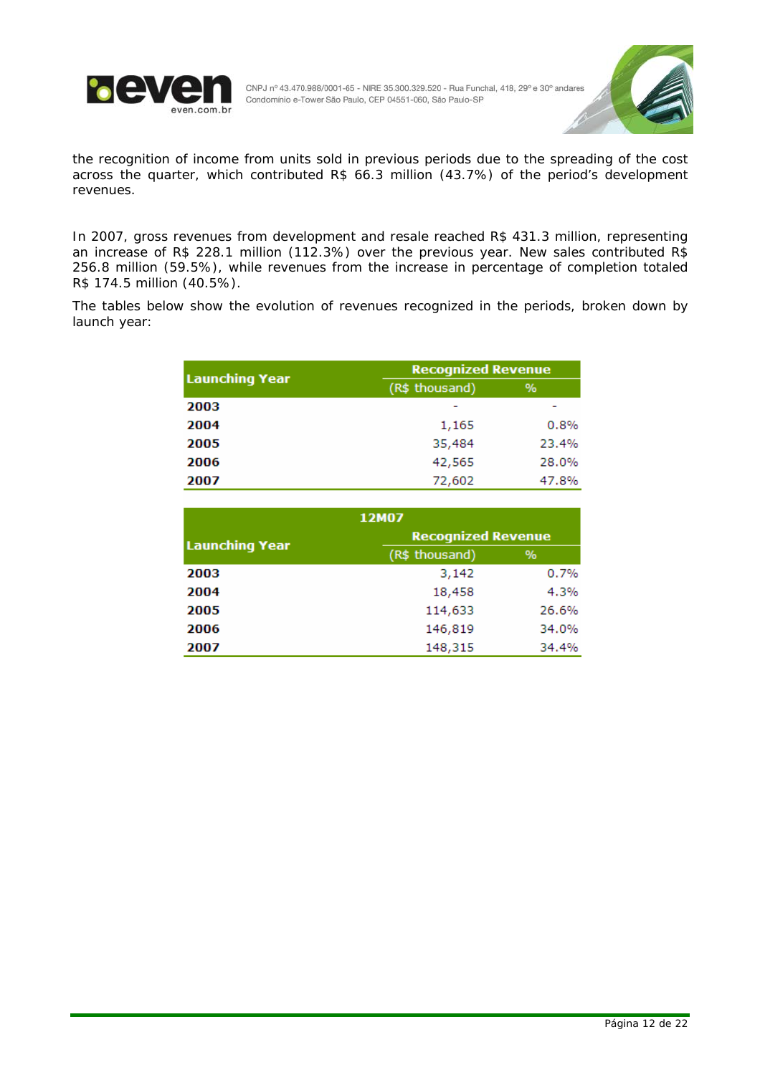



the recognition of income from units sold in previous periods due to the spreading of the cost across the quarter, which contributed R\$ 66.3 million (43.7%) of the period's development revenues.

In 2007, gross revenues from development and resale reached R\$ 431.3 million, representing an increase of R\$ 228.1 million (112.3%) over the previous year. New sales contributed R\$ 256.8 million (59.5%), while revenues from the increase in percentage of completion totaled R\$ 174.5 million (40.5%).

The tables below show the evolution of revenues recognized in the periods, broken down by launch year:

| <b>Launching Year</b> | <b>Recognized Revenue</b> |       |  |  |  |
|-----------------------|---------------------------|-------|--|--|--|
|                       | (R\$ thousand)            | %     |  |  |  |
| 2003                  |                           |       |  |  |  |
| 2004                  | 1,165                     | 0.8%  |  |  |  |
| 2005                  | 35,484                    | 23.4% |  |  |  |
| 2006                  | 42,565                    | 28.0% |  |  |  |
| 2007                  | 72,602                    | 47.8% |  |  |  |

|                       | 12M07                     |       |  |  |  |  |
|-----------------------|---------------------------|-------|--|--|--|--|
|                       | <b>Recognized Revenue</b> |       |  |  |  |  |
| <b>Launching Year</b> | (R\$ thousand)            | %     |  |  |  |  |
| 2003                  | 3,142                     | 0.7%  |  |  |  |  |
| 2004                  | 18,458                    | 4.3%  |  |  |  |  |
| 2005                  | 114,633                   | 26.6% |  |  |  |  |
| 2006                  | 146,819                   | 34.0% |  |  |  |  |
| 2007                  | 148,315                   | 34.4% |  |  |  |  |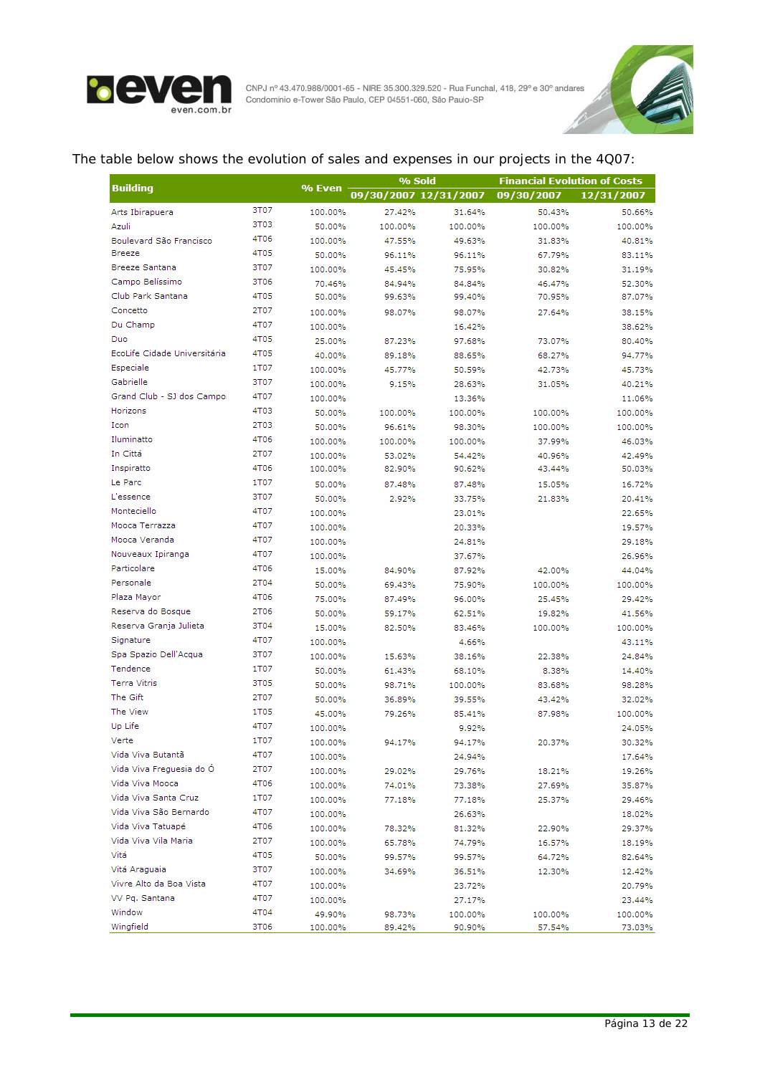



## The table below shows the evolution of sales and expenses in our projects in the 4Q07:

|                              |             |         | % Sold                |                   | <b>Financial Evolution of Costs</b> |            |  |
|------------------------------|-------------|---------|-----------------------|-------------------|-------------------------------------|------------|--|
| <b>Building</b>              |             | % Even  | 09/30/2007 12/31/2007 |                   | 09/30/2007                          | 12/31/2007 |  |
| Arts Ibirapuera              | 3T07        | 100.00% | 27.42%                | 31.64%            | 50.43%                              | 50.66%     |  |
| Azuli                        | 3T03        | 50.00%  | 100.00%               | 100.00%           | 100.00%                             | 100.00%    |  |
| Boulevard São Francisco      | 4T06        | 100.00% | 47.55%                | 49.63%            | 31.83%                              | 40.81%     |  |
| <b>Breeze</b>                | 4T05        | 50.00%  | 96.11%                | 96.11%            | 67.79%                              | 83.11%     |  |
| <b>Breeze Santana</b>        | 3T07        | 100.00% | 45.45%                | 75.95%            | 30.82%                              | 31.19%     |  |
| Campo Belíssimo              | 3T06        | 70.46%  | 84.94%                | 84.84%            | 46.47%                              | 52.30%     |  |
| Club Park Santana            | 4T05        | 50.00%  | 99.63%                | 99.40%            | 70.95%                              | 87.07%     |  |
| Concetto                     | 2T07        | 100,00% | 98.07%                | 98.07%            | 27.64%                              | 38.15%     |  |
| Du Champ                     | 4T07        | 100.00% |                       | 16.42%            |                                     | 38.62%     |  |
| Duo                          | 4T05        | 25.00%  | 87.23%                | 97.68%            | 73.07%                              | 80.40%     |  |
| EcoLife Cidade Universitária | 4T05        | 40.00%  | 89.18%                | 88.65%            | 68.27%                              | 94.77%     |  |
| Especiale                    | 1T07        | 100.00% | 45.77%                | 50.59%            | 42.73%                              | 45.73%     |  |
| Gabrielle                    | 3T07        | 100.00% | 9.15%                 | 28.63%            | 31.05%                              | 40.21%     |  |
| Grand Club - SJ dos Campo:   | 4T07        | 100.00% |                       | 13.36%            |                                     | 11.06%     |  |
| Horizons                     | 4T03        | 50.00%  | 100.00%               | 100.00%           | 100.00%                             | 100.00%    |  |
| Icon                         | 2T03        | 50.00%  | 96.61%                | 98.30%            | 100.00%                             | 100.00%    |  |
| Iluminatto                   | 4T06        | 100.00% | 100.00%               | 100.00%           | 37.99%                              | 46.03%     |  |
| In Cittá                     | 2T07        | 100.00% | 53.02%                | 54.42%            | 40.96%                              | 42.49%     |  |
| Inspiratto                   | 4T06        | 100.00% | 82.90%                | 90.62%            | 43.44%                              | 50.03%     |  |
| Le Parc                      | 1T07        | 50.00%  | 87.48%                | 87.48%            | 15.05%                              | 16.72%     |  |
| L'essence                    | 3T07        | 50.00%  | 2.92%                 | 33.75%            | 21.83%                              | 20.41%     |  |
| Monteciello                  | 4T07        | 100.00% |                       | 23.01%            |                                     | 22.65%     |  |
| Mooca Terrazza               | 4T07        | 100.00% |                       | 20.33%            |                                     | 19.57%     |  |
| Mooca Veranda                | 4T07        | 100.00% |                       | 24.81%            |                                     | 29.18%     |  |
| Nouveaux Ipiranga            | 4T07        | 100.00% |                       | 37.67%            |                                     | 26.96%     |  |
| Particolare                  | 4T06        | 15.00%  | 84.90%                | 87.92%            | 42.00%                              | 44.04%     |  |
| Personale                    | 2T04        | 50.00%  | 69.43%                | 75.90%            | 100.00%                             | 100.00%    |  |
| Plaza Mayor                  | 4T06        | 75.00%  | 87.49%                | 96.00%            | 25,45%                              | 29.42%     |  |
| Reserva do Bosque            | 2T06        | 50.00%  | 59.17%                | 62.51%            | 19.82%                              | 41.56%     |  |
| Reserva Granja Julieta       | 3T04        | 15.00%  | 82.50%                | 83.46%            | 100.00%                             | 100.00%    |  |
| Signature                    | 4T07        | 100.00% |                       | 4.66%             |                                     | 43.11%     |  |
| Spa Spazio Dell'Acqua        | 3T07        | 100.00% | 15.63%                | 38.16%            | 22.38%                              | 24.84%     |  |
| Tendence                     | 1T07        | 50.00%  | 61.43%                | 68.10%            | 8.38%                               | 14.40%     |  |
| <b>Terra Vitris</b>          | 3T05        | 50.00%  |                       |                   |                                     | 98.28%     |  |
| The Gift                     | 2T07        | 50.00%  | 98.71%<br>36.89%      | 100.00%<br>39.55% | 83.68%<br>43.42%                    | 32.02%     |  |
| The View                     | <b>1T05</b> |         | 79.26%                |                   |                                     | 100.00%    |  |
| Up Life                      | 4T07        | 45.00%  |                       | 85.41%            | 87.98%                              |            |  |
| Verte                        | 1T07        | 100.00% |                       | 9.92%             |                                     | 24.05%     |  |
| Vida Viva Butantã            | 4T07        | 100.00% | 94.17%                | 94.17%            | 20.37%                              | 30.32%     |  |
| Vida Viva Freguesia do Ó     | 2T07        | 100.00% |                       | 24.94%            |                                     | 17.64%     |  |
| Vida Viva Mooca              | 4T06        | 100.00% | 29.02%                | 29.76%            | 18.21%                              | 19.26%     |  |
| Vida Viva Santa Cruz         | 1T07        | 100.00% | 74.01%                | 73.38%            | 27.69%                              | 35.87%     |  |
| Vida Viva São Bernardo       | 4T07        | 100.00% | 77.18%                | 77.18%            | 25.37%                              | 29.46%     |  |
|                              |             | 100.00% |                       | 26.63%            |                                     | 18.02%     |  |
| Vida Viva Tatuapé            | 4T06        | 100.00% | 78.32%                | 81.32%            | 22.90%                              | 29.37%     |  |
| Vida Viva Vila Maria         | 2T07        | 100.00% | 65.78%                | 74.79%            | 16.57%                              | 18.19%     |  |
| Vitá                         | 4T05        | 50.00%  | 99.57%                | 99.57%            | 64.72%                              | 82.64%     |  |
| Vitá Araguaia                | 3T07        | 100.00% | 34.69%                | 36.51%            | 12.30%                              | 12.42%     |  |
| Vivre Alto da Boa Vista      | 4T07        | 100.00% |                       | 23.72%            |                                     | 20.79%     |  |
| VV Pq. Santana               | 4T07        | 100.00% |                       | 27.17%            |                                     | 23.44%     |  |
| Window                       | 4T04        | 49.90%  | 98.73%                | 100.00%           | 100.00%                             | 100.00%    |  |
| Wingfield                    | 3T06        | 100.00% | 89.42%                | 90.90%            | 57.54%                              | 73.03%     |  |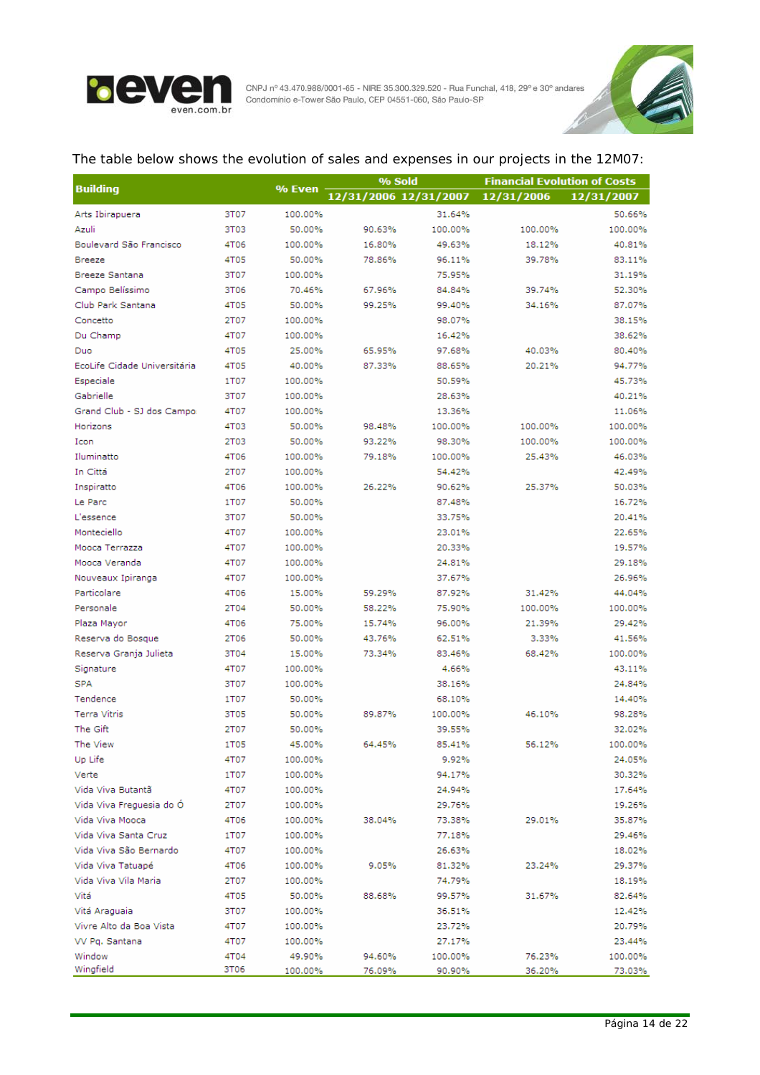



#### **Financial Evolution of Costs** % Sold **Building** % Even 12/31/2006 12/31/2007 12/31/2006 12/31/2007 Arts Ibirapuera 3707 100,00% 31.64% 50.66% Azuli 3T03 50.00% 90.63% 100.00% 100.00% 100.00% Boulevard São Francisco 4706 100.00% 16.80% 49.63% 18.12% 40.81% 4T05 50.00% 78.86% 96.11% 39.78% 83.11% **Breeze** 100,00% 75.95% **Breeze Santana** 3T07 31.19% Campo Belíssimo 3T06 70.46% 67.96% 84.84% 39.74% 52.30% Club Park Santana 4TO5 50.00% 99.25% 99,40% 34.16% 87.07% Concetto 2T07 100,00% 98.07% 38.15% Du Chamn  $ATO7$ 100,00% 16.42% 38.62% Duo 4T05 25.00% 65.95% 97.68% 40.03% 80.40% EcoLife Cidade Universitária 40.00% 4T05 87.33% 88.65% 20.21% 94.77% Especiale **1T07** 100,00% 50.59% 45.73% Gabrielle 3707 100,00% 28.63% 40.21% Grand Club - SJ dos Campo 4T07 100,00% 13.36% 11.06% 4T03 50.00% 98.48% 100.00% 100.00% 100.00% Horizons Icon **2T03** 50.00% 93.22% 98.30% 100.00% 100.00% Iluminatto 4T06 100,00% 100,00% 46.03% 79.18% 25.43% In Città 2T07 100,00% 54.42% 42.49% Inspiratto 4T06 100,00% 26.22% 90.62% 25.37% 50.03% Le Parc 1T07 50.00% 87.48% 16.72% 50.00% 33.75% 3T07 20.41% L'essence 100,00% Monteciello 4T07 23.01% 22.65% Mooca Terrazza 4T07 100.00% 20.33% 19.57% Mooca Veranda 4T07 100.00% 24.81% 29.18% Nouveaux Ipiranga 4T07 100.00% 37.67% 26.96% Particolare 4T06 15.00% 59.29% 87.92% 31.42% 44.04% Personale 2T04 50.00% 58.22% 75.90% 100,00% 100.00% Plaza Mayor 4T06 75.00% 15.74% 96.00% 21.39% 29.42% Reserva do Bosque **2T06** 50.00% 43.76% 62.51% 3.33% 41.56% Reserva Granja Julieta 3T04 15.00% 73.34% 83.46% 68.42% 100,00% Signature 4T07 100,00% 4.66% 43.11% **SPA** 3T07 100.00% 38.16% 24.84% Tendence 1T07 50.00% 68.10% 14.40% **Terra Vitris** 98.28% 3T05 50.00% 100.00% 46.10% 89.87% The Gift 50.00% 32.02% 2T07 39.55% The View 1T05 45.00% 64.45% 85.41% 56.12% 100.00% Up Life 4T07 100.00% 9.92% 24.05% Verte 1T07 100.00% 94.17% 30.32% 4T07 100,00% 24.94% Vida Viva Butantã 17.64% Vida Viva Freguesia do Ó 2T07 100.00% 29.76% 19.26% Vida Viva Mooca 4T06 100.00% 38.04% 73.38% 29.01% 35.87% Vida Viva Santa Cruz 1T07 100.00% 77.18% 29.46% Vida Viva São Bernardo 4T07 100,00% 26.63% 18.02% Vida Viva Tatuapé 4T06 100,00% 9.05% 81.32% 23.24% 29.37% Vida Viva Vila Maria **2T07** 100.00% 74.79% 18.19% Vitá 4T05 50.00% 88.68% 99.57% 31.67% 82.64% Vitá Araguaia 3T07 100,00% 36.51% 12.42% Vivre Alto da Boa Vista 100,00% 4T07 23.72% 20.79% VV Pq. Santana 4T07 100.00% 27.17% 23,44% Window 4T04 49.90% 94.60% 100.00% 76.23% 100.00% Wingfield 3T06 100.00% 76.09% 90.90% 36.20% 73.03%

#### The table below shows the evolution of sales and expenses in our projects in the 12M07: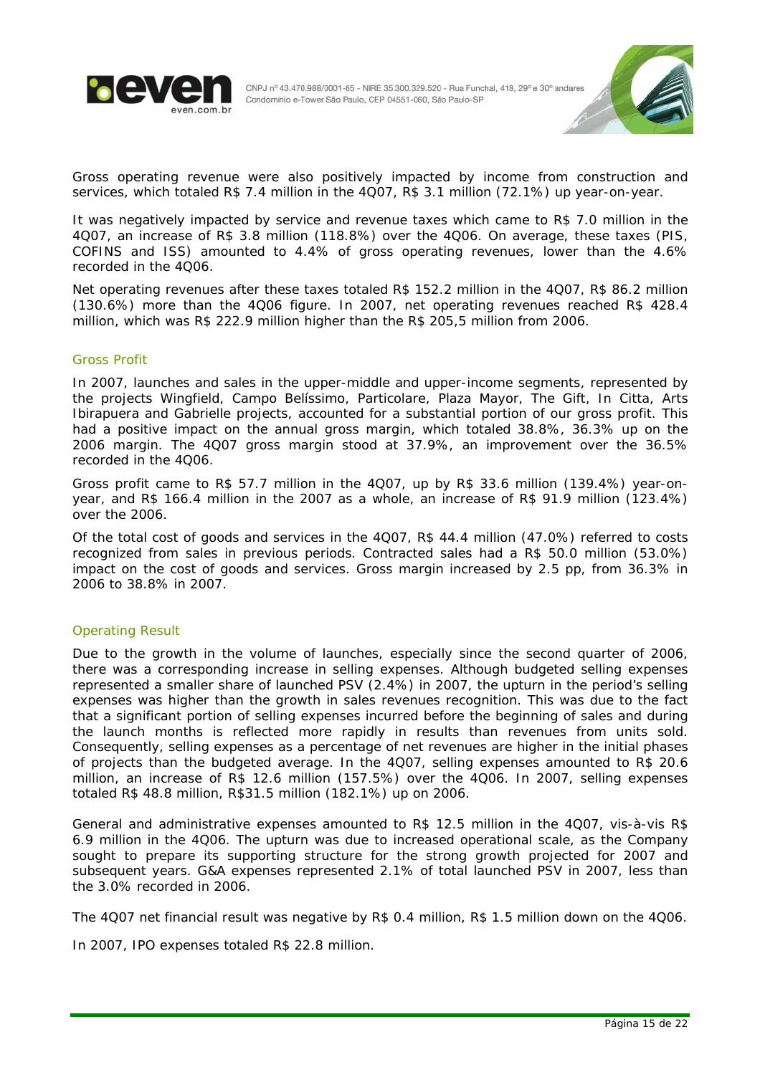



Gross operating revenue were also positively impacted by income from construction and services, which totaled R\$ 7.4 million in the 4Q07, R\$ 3.1 million (72.1%) up year-on-year.

It was negatively impacted by service and revenue taxes which came to R\$ 7.0 million in the 4Q07, an increase of R\$ 3.8 million (118.8%) over the 4Q06. On average, these taxes (PIS, COFINS and ISS) amounted to 4.4% of gross operating revenues, lower than the 4.6% recorded in the 4Q06.

Net operating revenues after these taxes totaled R\$ 152.2 million in the 4Q07, R\$ 86.2 million (130.6%) more than the 4Q06 figure. In 2007, net operating revenues reached R\$ 428.4 million, which was R\$ 222.9 million higher than the R\$ 205,5 million from 2006.

## Gross Profit

In 2007, launches and sales in the upper-middle and upper-income segments, represented by the projects Wingfield, Campo Belíssimo, Particolare, Plaza Mayor, The Gift, In Citta, Arts Ibirapuera and Gabrielle projects, accounted for a substantial portion of our gross profit. This had a positive impact on the annual gross margin, which totaled 38.8%, 36.3% up on the 2006 margin. The 4Q07 gross margin stood at 37.9%, an improvement over the 36.5% recorded in the 4Q06.

Gross profit came to R\$ 57.7 million in the 4Q07, up by R\$ 33.6 million (139.4%) year-onyear, and R\$ 166.4 million in the 2007 as a whole, an increase of R\$ 91.9 million (123.4%) over the 2006.

Of the total cost of goods and services in the 4Q07, R\$ 44.4 million (47.0%) referred to costs recognized from sales in previous periods. Contracted sales had a R\$ 50.0 million (53.0%) impact on the cost of goods and services. Gross margin increased by 2.5 pp, from 36.3% in 2006 to 38.8% in 2007.

#### Operating Result

Due to the growth in the volume of launches, especially since the second quarter of 2006, there was a corresponding increase in selling expenses. Although budgeted selling expenses represented a smaller share of launched PSV (2.4%) in 2007, the upturn in the period's selling expenses was higher than the growth in sales revenues recognition. This was due to the fact that a significant portion of selling expenses incurred before the beginning of sales and during the launch months is reflected more rapidly in results than revenues from units sold. Consequently, selling expenses as a percentage of net revenues are higher in the initial phases of projects than the budgeted average. In the 4Q07, selling expenses amounted to R\$ 20.6 million, an increase of R\$ 12.6 million (157.5%) over the 4Q06. In 2007, selling expenses totaled R\$ 48.8 million, R\$31.5 million (182.1%) up on 2006.

General and administrative expenses amounted to R\$ 12.5 million in the 4Q07, vis-à-vis R\$ 6.9 million in the 4Q06. The upturn was due to increased operational scale, as the Company sought to prepare its supporting structure for the strong growth projected for 2007 and subsequent years. G&A expenses represented 2.1% of total launched PSV in 2007, less than the 3.0% recorded in 2006.

The 4Q07 net financial result was negative by R\$ 0.4 million, R\$ 1.5 million down on the 4Q06.

In 2007, IPO expenses totaled R\$ 22.8 million.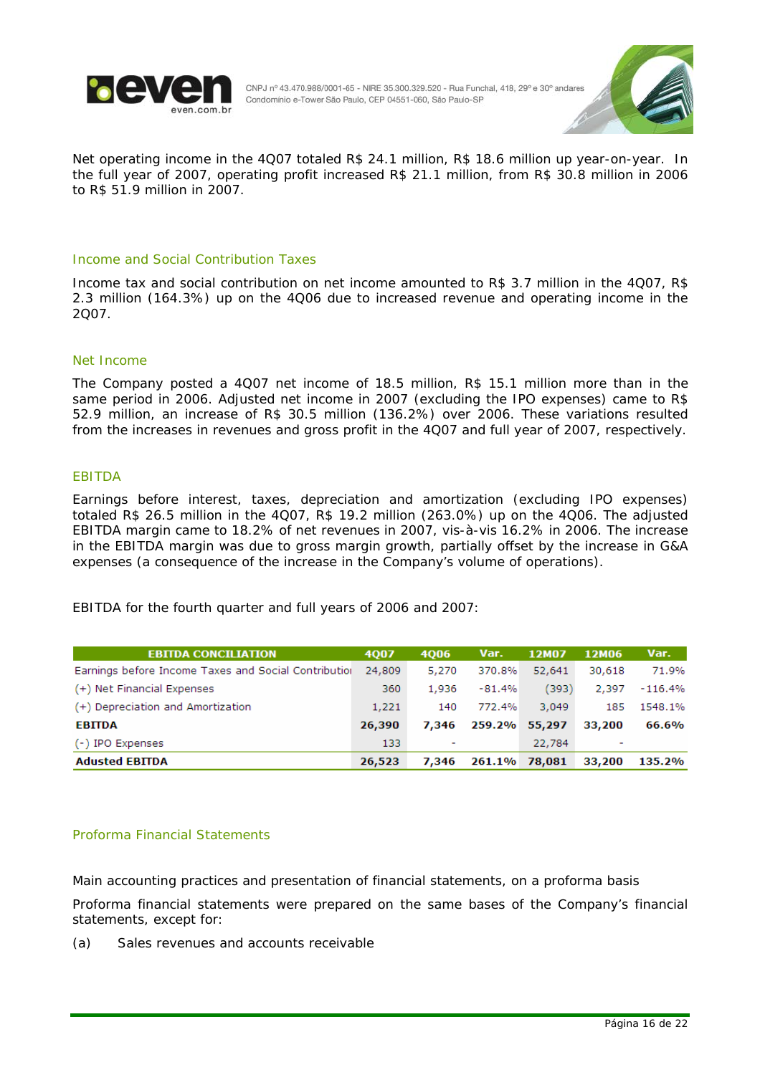



Net operating income in the 4Q07 totaled R\$ 24.1 million, R\$ 18.6 million up year-on-year. In the full year of 2007, operating profit increased R\$ 21.1 million, from R\$ 30.8 million in 2006 to R\$ 51.9 million in 2007.

### Income and Social Contribution Taxes

Income tax and social contribution on net income amounted to R\$ 3.7 million in the 4Q07, R\$ 2.3 million (164.3%) up on the 4Q06 due to increased revenue and operating income in the 2Q07.

#### Net Income

The Company posted a 4Q07 net income of 18.5 million, R\$ 15.1 million more than in the same period in 2006. Adjusted net income in 2007 (excluding the IPO expenses) came to R\$ 52.9 million, an increase of R\$ 30.5 million (136.2%) over 2006. These variations resulted from the increases in revenues and gross profit in the 4Q07 and full year of 2007, respectively.

#### EBITDA

Earnings before interest, taxes, depreciation and amortization (excluding IPO expenses) totaled R\$ 26.5 million in the 4Q07, R\$ 19.2 million (263.0%) up on the 4Q06. The adjusted EBITDA margin came to 18.2% of net revenues in 2007, vis-à-vis 16.2% in 2006. The increase in the EBITDA margin was due to gross margin growth, partially offset by the increase in G&A expenses (a consequence of the increase in the Company's volume of operations).

EBITDA for the fourth quarter and full years of 2006 and 2007:

| <b>EBITDA CONCILIATION</b>                           | 4007   | 4006  | Var.     | 12M07  | 12M06  | Var.      |
|------------------------------------------------------|--------|-------|----------|--------|--------|-----------|
| Earnings before Income Taxes and Social Contribution | 24,809 | 5,270 | 370.8%   | 52,641 | 30,618 | 71.9%     |
| (+) Net Financial Expenses                           | 360    | 1,936 | $-81.4%$ | (393)  | 2,397  | $-116.4%$ |
| (+) Depreciation and Amortization                    | 1,221  | 140   | 772.4%   | 3,049  | 185    | 1548.1%   |
| <b>EBITDA</b>                                        | 26,390 | 7.346 | 259.2%   | 55,297 | 33,200 | 66.6%     |
| (-) IPO Expenses                                     | 133    |       |          | 22,784 | ۰      |           |
| <b>Adusted EBITDA</b>                                | 26,523 | 7,346 | 261.1%   | 78,081 | 33,200 | 135.2%    |

## Proforma Financial Statements

Main accounting practices and presentation of financial statements, on a proforma basis Proforma financial statements were prepared on the same bases of the Company's financial statements, except for:

(a) Sales revenues and accounts receivable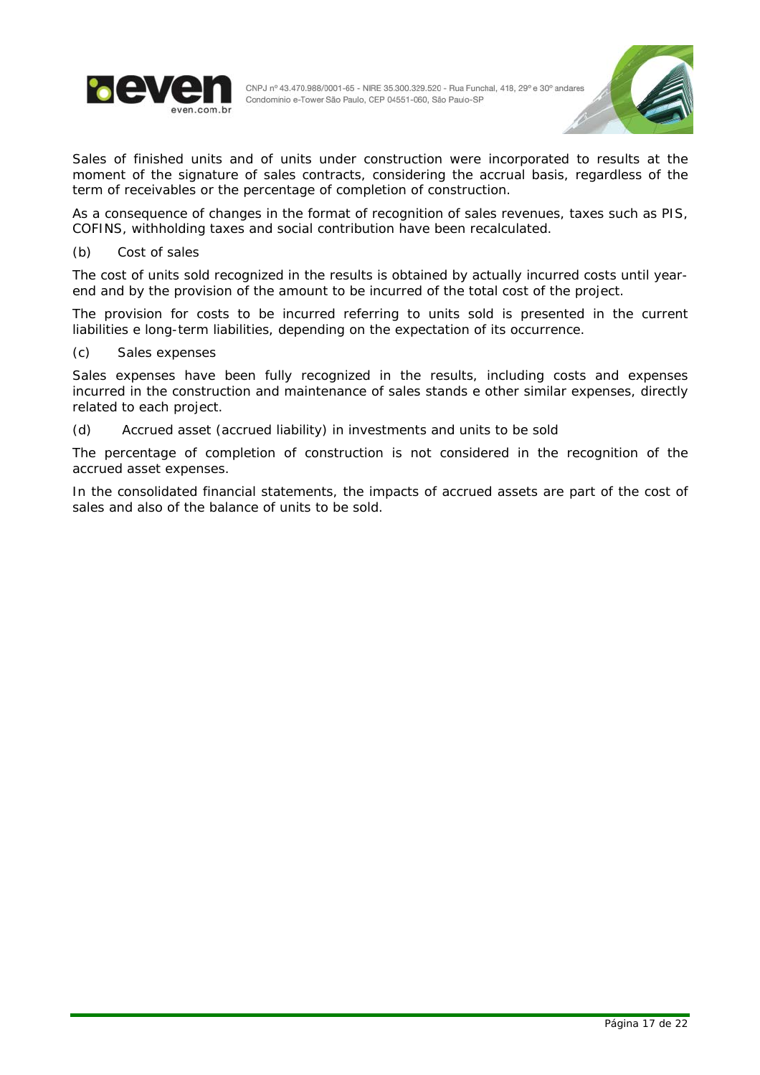



Sales of finished units and of units under construction were incorporated to results at the moment of the signature of sales contracts, considering the accrual basis, regardless of the term of receivables or the percentage of completion of construction.

As a consequence of changes in the format of recognition of sales revenues, taxes such as PIS, COFINS, withholding taxes and social contribution have been recalculated.

(b) Cost of sales

The cost of units sold recognized in the results is obtained by actually incurred costs until yearend and by the provision of the amount to be incurred of the total cost of the project.

The provision for costs to be incurred referring to units sold is presented in the current liabilities e long-term liabilities, depending on the expectation of its occurrence.

(c) Sales expenses

Sales expenses have been fully recognized in the results, including costs and expenses incurred in the construction and maintenance of sales stands e other similar expenses, directly related to each project.

(d) Accrued asset (accrued liability) in investments and units to be sold

The percentage of completion of construction is not considered in the recognition of the accrued asset expenses.

In the consolidated financial statements, the impacts of accrued assets are part of the cost of sales and also of the balance of units to be sold.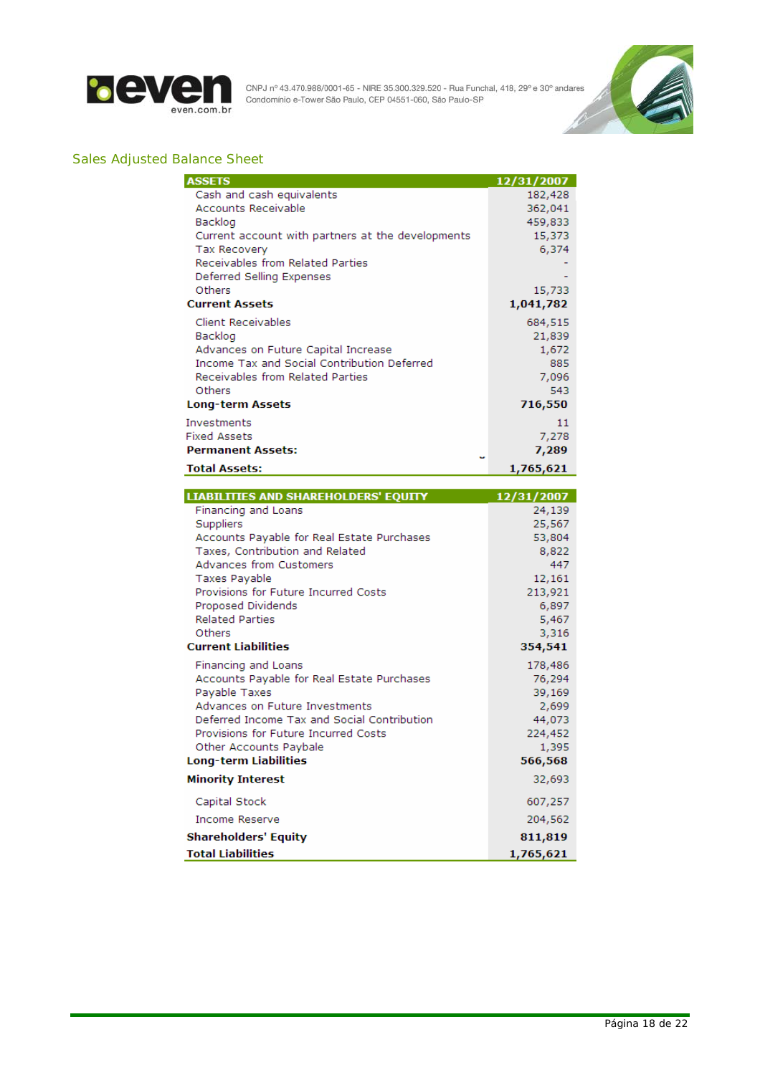



## Sales Adjusted Balance Sheet

| <b>ASSETS</b>                                     | 12/31/2007 |
|---------------------------------------------------|------------|
| Cash and cash equivalents                         | 182,428    |
| <b>Accounts Receivable</b>                        | 362,041    |
| Backlog                                           | 459,833    |
| Current account with partners at the developments | 15,373     |
| <b>Tax Recovery</b>                               | 6,374      |
| Receivables from Related Parties                  |            |
| Deferred Selling Expenses                         |            |
| Others                                            | 15,733     |
| <b>Current Assets</b>                             | 1,041,782  |
| Client Receivables                                | 684,515    |
| Backlog                                           | 21,839     |
| Advances on Future Capital Increase               | 1,672      |
| Income Tax and Social Contribution Deferred       | 885        |
| Receivables from Related Parties                  | 7,096      |
| Others                                            | 543        |
| <b>Long-term Assets</b>                           | 716,550    |
| Investments                                       | 11         |
| <b>Fixed Assets</b>                               | 7,278      |
| <b>Permanent Assets:</b>                          | 7,289      |
| <b>Total Assets:</b>                              | 1,765,621  |

| <b>LIABILITIES AND SHAREHOLDERS' EQUITY</b> | 12/31/2007 |
|---------------------------------------------|------------|
| Financing and Loans                         | 24,139     |
| Suppliers                                   | 25,567     |
| Accounts Payable for Real Estate Purchases  | 53,804     |
| Taxes, Contribution and Related             | 8,822      |
| Advances from Customers                     | 447        |
| <b>Taxes Payable</b>                        | 12,161     |
| Provisions for Future Incurred Costs        | 213,921    |
| Proposed Dividends                          | 6,897      |
| <b>Related Parties</b>                      | 5,467      |
| Others                                      | 3,316      |
| <b>Current Liabilities</b>                  | 354,541    |
| Financing and Loans                         | 178,486    |
| Accounts Payable for Real Estate Purchases  | 76,294     |
| Payable Taxes                               | 39,169     |
| Advances on Future Investments              | 2,699      |
| Deferred Income Tax and Social Contribution | 44,073     |
| Provisions for Future Incurred Costs        | 224,452    |
| Other Accounts Paybale                      | 1,395      |
| Long-term Liabilities                       | 566,568    |
| <b>Minority Interest</b>                    | 32,693     |
| Capital Stock                               | 607,257    |
| <b>Income Reserve</b>                       | 204,562    |
| <b>Shareholders' Equity</b>                 | 811,819    |
| <b>Total Liabilities</b>                    | 1,765,621  |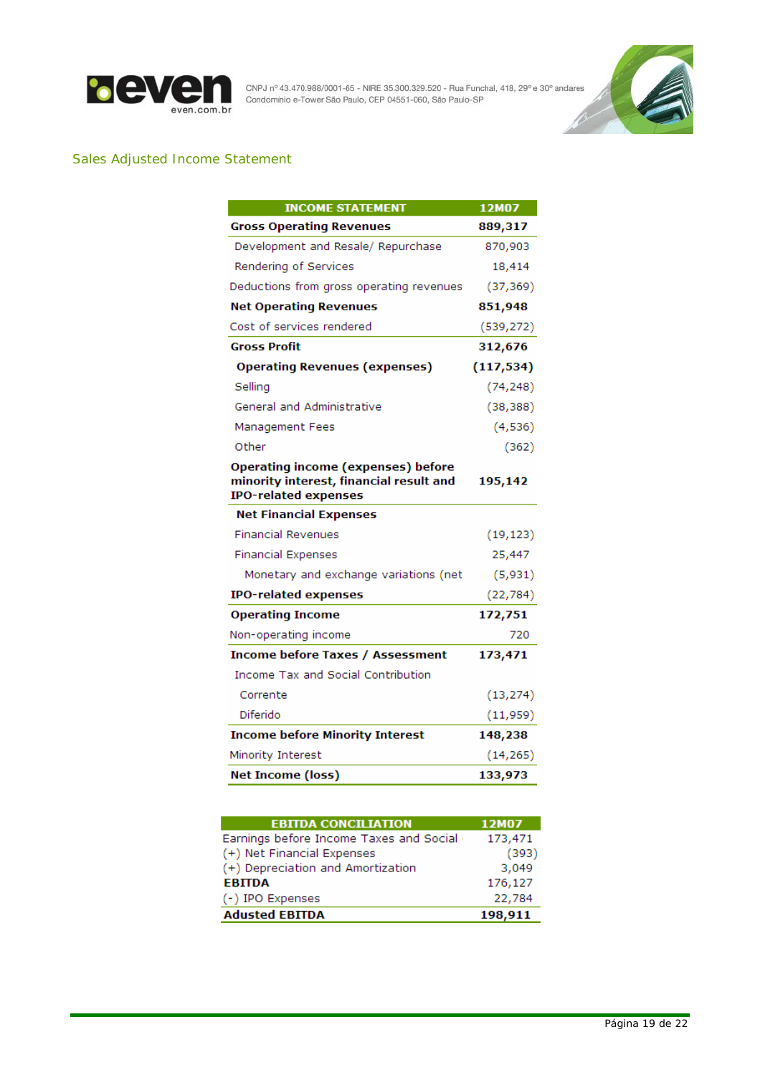



## Sales Adjusted Income Statement

| <b>INCOME STATEMENT</b>                                                                                      | 12M07      |
|--------------------------------------------------------------------------------------------------------------|------------|
| <b>Gross Operating Revenues</b>                                                                              | 889,317    |
| Development and Resale/ Repurchase                                                                           | 870,903    |
| Rendering of Services                                                                                        | 18,414     |
| Deductions from gross operating revenues                                                                     | (37, 369)  |
| <b>Net Operating Revenues</b>                                                                                | 851,948    |
| Cost of services rendered                                                                                    | (539, 272) |
| Gross Profit                                                                                                 | 312,676    |
| <b>Operating Revenues (expenses)</b>                                                                         | (117, 534) |
| Selling                                                                                                      | (74, 248)  |
| General and Administrative                                                                                   | (38, 388)  |
| Management Fees                                                                                              | (4,536)    |
| Other                                                                                                        | (362)      |
| Operating income (expenses) before<br>minority interest, financial result and<br><b>IPO-related expenses</b> | 195,142    |
| <b>Net Financial Expenses</b>                                                                                |            |
| <b>Financial Revenues</b>                                                                                    | (19, 123)  |
| <b>Financial Expenses</b>                                                                                    | 25,447     |
| Monetary and exchange variations (net                                                                        | (5,931)    |
| IPO-related expenses                                                                                         | (22, 784)  |
| <b>Operating Income</b>                                                                                      | 172,751    |
| Non-operating income                                                                                         | 720        |
| <b>Income before Taxes / Assessment</b>                                                                      | 173,471    |
| Income Tax and Social Contribution                                                                           |            |
| Corrente                                                                                                     | (13, 274)  |
| Diferido                                                                                                     | (11, 959)  |
| <b>Income before Minority Interest</b>                                                                       | 148,238    |
| Minority Interest                                                                                            | (14, 265)  |
| Net Income (loss)                                                                                            | 133,973    |

| <b>EBITDA CONCILIATION</b>              | 12M07   |
|-----------------------------------------|---------|
| Earnings before Income Taxes and Social | 173,471 |
| (+) Net Financial Expenses              | (393)   |
| (+) Depreciation and Amortization       | 3,049   |
| <b>EBITDA</b>                           | 176,127 |
| (-) IPO Expenses                        | 22,784  |
| <b>Adusted EBITDA</b>                   | 198,911 |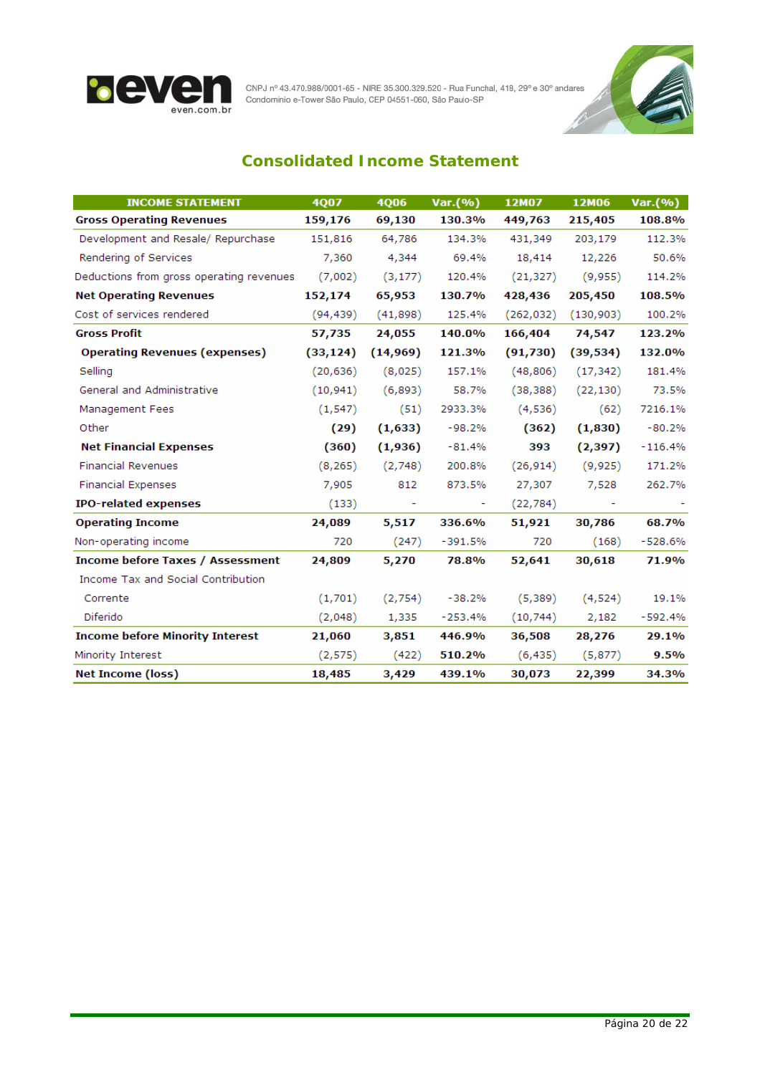



# **Consolidated Income Statement**

| <b>INCOME STATEMENT</b>                  | <b>4007</b> | <b>4006</b> | Var.(%)   | 12M07      | 12M06     | Var.(%)   |
|------------------------------------------|-------------|-------------|-----------|------------|-----------|-----------|
| <b>Gross Operating Revenues</b>          | 159,176     | 69,130      | 130.3%    | 449,763    | 215,405   | 108.8%    |
| Development and Resale/ Repurchase       | 151,816     | 64,786      | 134.3%    | 431,349    | 203,179   | 112.3%    |
| Rendering of Services                    | 7,360       | 4,344       | 69.4%     | 18,414     | 12,226    | 50.6%     |
| Deductions from gross operating revenues | (7,002)     | (3, 177)    | 120.4%    | (21, 327)  | (9,955)   | 114.2%    |
| <b>Net Operating Revenues</b>            | 152,174     | 65,953      | 130.7%    | 428,436    | 205,450   | 108.5%    |
| Cost of services rendered                | (94, 439)   | (41,898)    | 125.4%    | (262, 032) | (130,903) | 100.2%    |
| <b>Gross Profit</b>                      | 57,735      | 24,055      | 140.0%    | 166,404    | 74,547    | 123.2%    |
| <b>Operating Revenues (expenses)</b>     | (33, 124)   | (14, 969)   | 121.3%    | (91, 730)  | (39, 534) | 132.0%    |
| Selling                                  | (20, 636)   | (8,025)     | 157.1%    | (48, 806)  | (17, 342) | 181.4%    |
| General and Administrative               | (10, 941)   | (6,893)     | 58.7%     | (38, 388)  | (22, 130) | 73.5%     |
| Management Fees                          | (1, 547)    | (51)        | 2933.3%   | (4,536)    | (62)      | 7216.1%   |
| Other                                    | (29)        | (1,633)     | $-98.2%$  | (362)      | (1,830)   | $-80.2%$  |
| <b>Net Financial Expenses</b>            | (360)       | (1,936)     | $-81.4%$  | 393        | (2, 397)  | $-116.4%$ |
| <b>Financial Revenues</b>                | (8, 265)    | (2,748)     | 200.8%    | (26, 914)  | (9,925)   | 171.2%    |
| <b>Financial Expenses</b>                | 7,905       | 812         | 873.5%    | 27,307     | 7,528     | 262.7%    |
| <b>IPO-related expenses</b>              | (133)       | ۰           |           | (22, 784)  |           |           |
| <b>Operating Income</b>                  | 24,089      | 5,517       | 336.6%    | 51,921     | 30,786    | 68.7%     |
| Non-operating income                     | 720         | (247)       | $-391.5%$ | 720        | (168)     | $-528.6%$ |
| <b>Income before Taxes / Assessment</b>  | 24,809      | 5,270       | 78.8%     | 52,641     | 30,618    | 71.9%     |
| Income Tax and Social Contribution       |             |             |           |            |           |           |
| Corrente                                 | (1,701)     | (2,754)     | $-38.2%$  | (5,389)    | (4,524)   | 19.1%     |
| Diferido                                 | (2,048)     | 1,335       | $-253.4%$ | (10, 744)  | 2,182     | $-592.4%$ |
| <b>Income before Minority Interest</b>   | 21,060      | 3,851       | 446.9%    | 36,508     | 28,276    | 29.1%     |
| Minority Interest                        | (2,575)     | (422)       | 510.2%    | (6, 435)   | (5, 877)  | 9.5%      |
| <b>Net Income (loss)</b>                 | 18,485      | 3,429       | 439.1%    | 30,073     | 22,399    | 34.3%     |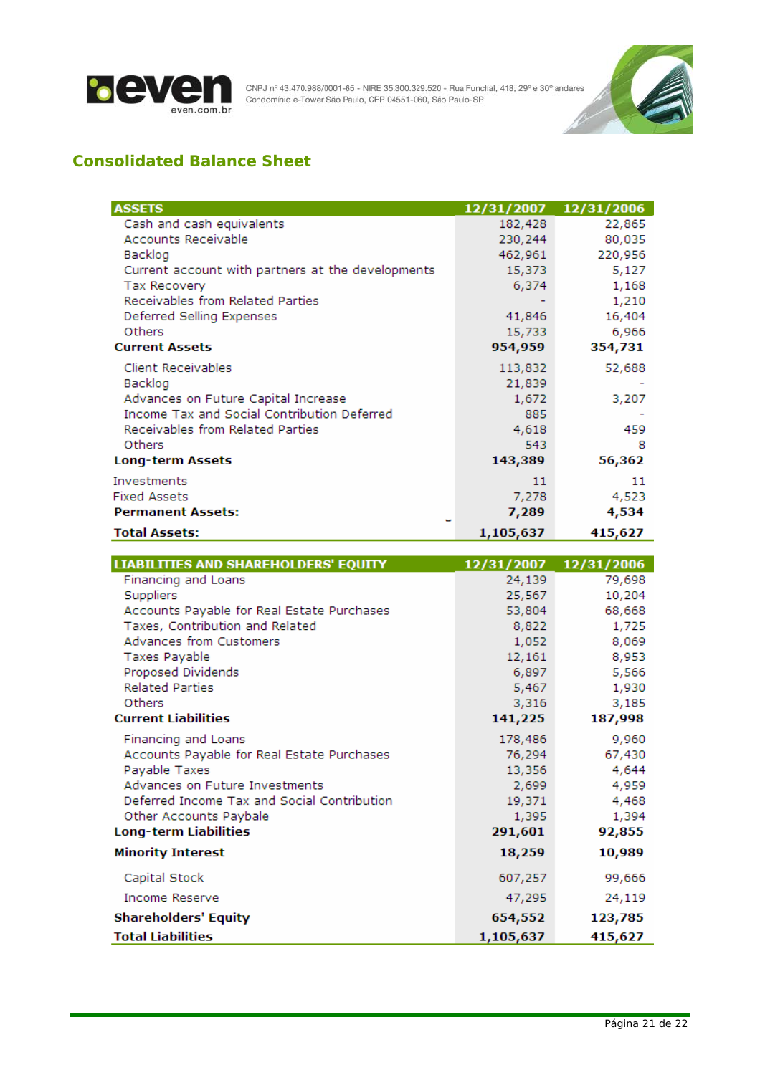



# **Consolidated Balance Sheet**

| <b>ASSETS</b>                                     | 12/31/2007 | 12/31/2006 |
|---------------------------------------------------|------------|------------|
| Cash and cash equivalents                         | 182,428    | 22,865     |
| Accounts Receivable                               | 230,244    | 80,035     |
| Backlog                                           | 462,961    | 220,956    |
| Current account with partners at the developments | 15,373     | 5,127      |
| Tax Recovery                                      | 6,374      | 1,168      |
| Receivables from Related Parties                  |            | 1,210      |
| Deferred Selling Expenses                         | 41,846     | 16,404     |
| Others                                            | 15,733     | 6,966      |
| <b>Current Assets</b>                             | 954,959    | 354,731    |
| Client Receivables                                | 113,832    | 52,688     |
| Backlog                                           | 21,839     |            |
| Advances on Future Capital Increase               | 1,672      | 3,207      |
| Income Tax and Social Contribution Deferred       | 885        |            |
| Receivables from Related Parties                  | 4,618      | 459        |
| Others                                            | 543        | 8          |
| <b>Long-term Assets</b>                           | 143,389    | 56,362     |
| Investments                                       | 11         | 11         |
| <b>Fixed Assets</b>                               | 7,278      | 4,523      |
| <b>Permanent Assets:</b>                          | 7,289      | 4,534      |
| <b>Total Assets:</b>                              | 1,105,637  | 415,627    |

| <b>LIABILITIES AND SHAREHOLDERS' EQUITY</b> | 12/31/2007 | 12/31/2006 |
|---------------------------------------------|------------|------------|
| Financing and Loans                         | 24,139     | 79,698     |
| Suppliers                                   | 25,567     | 10,204     |
| Accounts Payable for Real Estate Purchases  | 53,804     | 68,668     |
| Taxes, Contribution and Related             | 8,822      | 1,725      |
| <b>Advances from Customers</b>              | 1,052      | 8,069      |
| Taxes Payable                               | 12,161     | 8,953      |
| Proposed Dividends                          | 6,897      | 5,566      |
| <b>Related Parties</b>                      | 5,467      | 1,930      |
| Others                                      | 3,316      | 3,185      |
| <b>Current Liabilities</b>                  | 141,225    | 187,998    |
| Financing and Loans                         | 178,486    | 9,960      |
| Accounts Payable for Real Estate Purchases  | 76,294     | 67,430     |
| Payable Taxes                               | 13,356     | 4,644      |
| Advances on Future Investments              | 2,699      | 4,959      |
| Deferred Income Tax and Social Contribution | 19,371     | 4,468      |
| Other Accounts Paybale                      | 1,395      | 1,394      |
| Long-term Liabilities                       | 291,601    | 92,855     |
| <b>Minority Interest</b>                    | 18,259     | 10,989     |
| Capital Stock                               | 607,257    | 99,666     |
| <b>Income Reserve</b>                       | 47,295     | 24,119     |
| <b>Shareholders' Equity</b>                 | 654,552    | 123,785    |
| <b>Total Liabilities</b>                    | 1,105,637  | 415,627    |